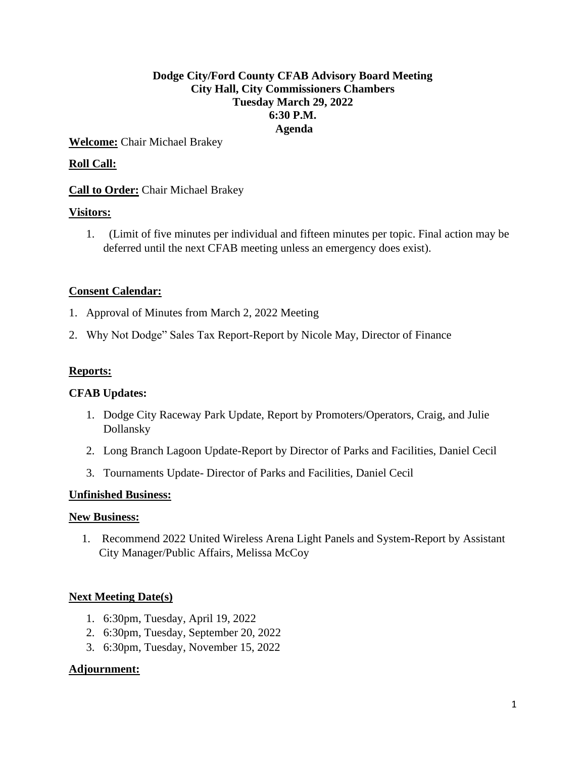# **Dodge City/Ford County CFAB Advisory Board Meeting City Hall, City Commissioners Chambers Tuesday March 29, 2022 6:30 P.M. Agenda**

**Welcome:** Chair Michael Brakey

# **Roll Call:**

# **Call to Order:** Chair Michael Brakey

### **Visitors:**

1. (Limit of five minutes per individual and fifteen minutes per topic. Final action may be deferred until the next CFAB meeting unless an emergency does exist).

# **Consent Calendar:**

- 1. Approval of Minutes from March 2, 2022 Meeting
- 2. Why Not Dodge" Sales Tax Report-Report by Nicole May, Director of Finance

### **Reports:**

### **CFAB Updates:**

- 1. Dodge City Raceway Park Update, Report by Promoters/Operators, Craig, and Julie Dollansky
- 2. Long Branch Lagoon Update-Report by Director of Parks and Facilities, Daniel Cecil
- 3. Tournaments Update- Director of Parks and Facilities, Daniel Cecil

#### **Unfinished Business:**

#### **New Business:**

1. Recommend 2022 United Wireless Arena Light Panels and System-Report by Assistant City Manager/Public Affairs, Melissa McCoy

### **Next Meeting Date(s)**

- 1. 6:30pm, Tuesday, April 19, 2022
- 2. 6:30pm, Tuesday, September 20, 2022
- 3. 6:30pm, Tuesday, November 15, 2022

### **Adjournment:**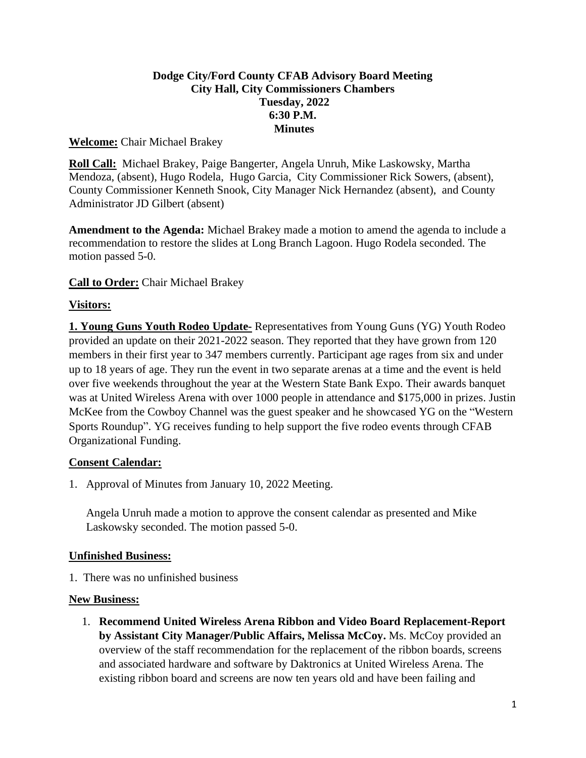# **Dodge City/Ford County CFAB Advisory Board Meeting City Hall, City Commissioners Chambers Tuesday, 2022 6:30 P.M. Minutes**

### **Welcome:** Chair Michael Brakey

**Roll Call:** Michael Brakey, Paige Bangerter, Angela Unruh, Mike Laskowsky, Martha Mendoza, (absent), Hugo Rodela, Hugo Garcia, City Commissioner Rick Sowers, (absent), County Commissioner Kenneth Snook, City Manager Nick Hernandez (absent), and County Administrator JD Gilbert (absent)

**Amendment to the Agenda:** Michael Brakey made a motion to amend the agenda to include a recommendation to restore the slides at Long Branch Lagoon. Hugo Rodela seconded. The motion passed 5-0.

# **Call to Order:** Chair Michael Brakey

# **Visitors:**

**1. Young Guns Youth Rodeo Update-** Representatives from Young Guns (YG) Youth Rodeo provided an update on their 2021-2022 season. They reported that they have grown from 120 members in their first year to 347 members currently. Participant age rages from six and under up to 18 years of age. They run the event in two separate arenas at a time and the event is held over five weekends throughout the year at the Western State Bank Expo. Their awards banquet was at United Wireless Arena with over 1000 people in attendance and \$175,000 in prizes. Justin McKee from the Cowboy Channel was the guest speaker and he showcased YG on the "Western Sports Roundup". YG receives funding to help support the five rodeo events through CFAB Organizational Funding.

### **Consent Calendar:**

1. Approval of Minutes from January 10, 2022 Meeting.

Angela Unruh made a motion to approve the consent calendar as presented and Mike Laskowsky seconded. The motion passed 5-0.

### **Unfinished Business:**

1. There was no unfinished business

### **New Business:**

1. **Recommend United Wireless Arena Ribbon and Video Board Replacement-Report by Assistant City Manager/Public Affairs, Melissa McCoy.** Ms. McCoy provided an overview of the staff recommendation for the replacement of the ribbon boards, screens and associated hardware and software by Daktronics at United Wireless Arena. The existing ribbon board and screens are now ten years old and have been failing and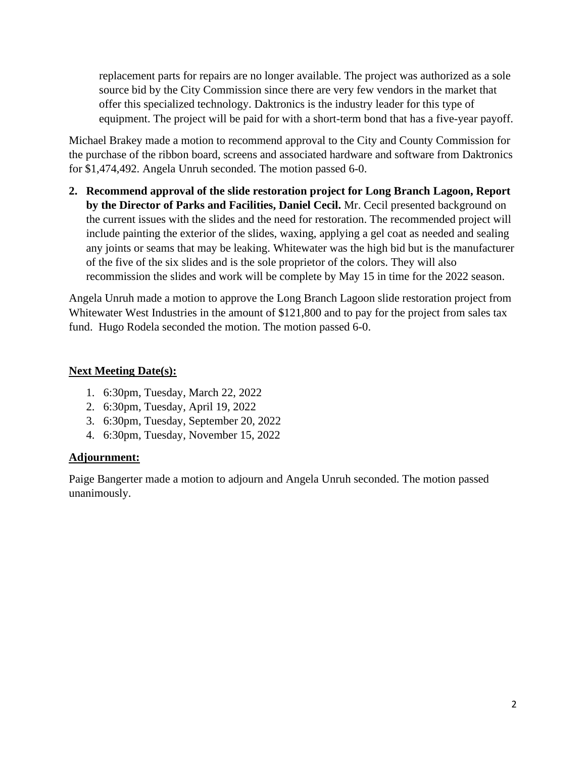replacement parts for repairs are no longer available. The project was authorized as a sole source bid by the City Commission since there are very few vendors in the market that offer this specialized technology. Daktronics is the industry leader for this type of equipment. The project will be paid for with a short-term bond that has a five-year payoff.

Michael Brakey made a motion to recommend approval to the City and County Commission for the purchase of the ribbon board, screens and associated hardware and software from Daktronics for \$1,474,492. Angela Unruh seconded. The motion passed 6-0.

**2. Recommend approval of the slide restoration project for Long Branch Lagoon, Report by the Director of Parks and Facilities, Daniel Cecil.** Mr. Cecil presented background on the current issues with the slides and the need for restoration. The recommended project will include painting the exterior of the slides, waxing, applying a gel coat as needed and sealing any joints or seams that may be leaking. Whitewater was the high bid but is the manufacturer of the five of the six slides and is the sole proprietor of the colors. They will also recommission the slides and work will be complete by May 15 in time for the 2022 season.

Angela Unruh made a motion to approve the Long Branch Lagoon slide restoration project from Whitewater West Industries in the amount of \$121,800 and to pay for the project from sales tax fund. Hugo Rodela seconded the motion. The motion passed 6-0.

### **Next Meeting Date(s):**

- 1. 6:30pm, Tuesday, March 22, 2022
- 2. 6:30pm, Tuesday, April 19, 2022
- 3. 6:30pm, Tuesday, September 20, 2022
- 4. 6:30pm, Tuesday, November 15, 2022

#### **Adjournment:**

Paige Bangerter made a motion to adjourn and Angela Unruh seconded. The motion passed unanimously.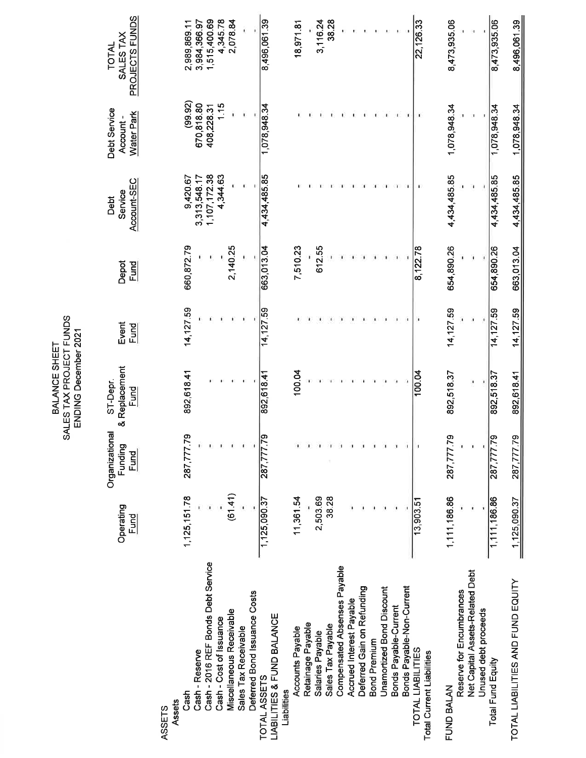| Ë<br>Σ<br>۱Ŋ°<br>Ξ<br>╦<br>SHEET<br>PROJECT<br><b>EmP</b><br>ă<br>ς<br>ž<br>ુ<br>S TA:<br>ć<br>ŭ<br>ā |
|-------------------------------------------------------------------------------------------------------|
|-------------------------------------------------------------------------------------------------------|

|                                                                      |                   |                                          | SALES TAX PROJECT FUNDS<br>ENDING December 2021 |                      |               |                                |                                               |                                             |
|----------------------------------------------------------------------|-------------------|------------------------------------------|-------------------------------------------------|----------------------|---------------|--------------------------------|-----------------------------------------------|---------------------------------------------|
|                                                                      | Operating<br>Fund | Organizational<br>Funding<br><u>Fund</u> | & Replacement<br>ST-Depr.<br>Fund               | Event<br><u>Fund</u> | Depot<br>Fund | Account-SEC<br>Service<br>Debt | Debt Service<br><b>Water Park</b><br>Account- | PROJECTS FUNDS<br>SALES TAX<br><b>TOTAL</b> |
| Assets<br><b>ASSETS</b>                                              |                   |                                          |                                                 |                      |               |                                |                                               |                                             |
| Cash - Reserve<br>Cash                                               | 1,125,151.78      | 287,777.79                               | 892,618.41                                      | 14, 127.59           | 660,872.79    | 9,420.67<br>3,313,548.17       | (99.92)<br>670,818.80                         | 2,989,869.11<br>3,984,366.97                |
| Cash - 2016 REF Bonds Debt Service                                   |                   |                                          |                                                 |                      |               | 1,107,172.38                   | 408,228.31                                    | 1,515,400.69                                |
| Cash - Cost of Issuance                                              |                   |                                          |                                                 |                      |               | 4,344.63                       | 1.15                                          | 4,345.78                                    |
| Miscellaneous Receivable                                             | (61.41)           |                                          |                                                 |                      | 2,140.25      |                                |                                               | 2,078.84                                    |
| Sales Tax Receivable                                                 |                   |                                          | ٤.                                              |                      |               |                                |                                               |                                             |
| Deferred Bond Issuance Costs                                         |                   |                                          |                                                 |                      |               |                                |                                               |                                             |
| <b>LIABILITIES &amp; FUND BALANCE</b><br>TOTAL ASSETS<br>Liabilities | 1,125,090.37      | <b>6Z.</b><br>287,77                     | 892, 618.41                                     | 14, 127.59           | 663,013.04    | 4,434,485.85                   | 1,078,948.34                                  | 8,496,061.39                                |
| Accounts Payable                                                     | 11,361.54         |                                          | 100.04                                          |                      | 7,510.23      |                                |                                               | 18,971.81                                   |
| Retainage Payable                                                    |                   |                                          |                                                 |                      |               |                                |                                               |                                             |
| Salaries Payable                                                     | 2,503.69          |                                          |                                                 |                      | 612.55        |                                |                                               | 3,116.24                                    |
| Sales Tax Payable                                                    | 38.28             |                                          |                                                 |                      |               |                                |                                               | 38.28                                       |
| Compensated Absenses Payable                                         |                   |                                          |                                                 |                      |               |                                |                                               |                                             |
| Accrued Interest Payable                                             |                   |                                          |                                                 |                      |               |                                |                                               |                                             |
| Deferred Gain on Refunding                                           |                   |                                          |                                                 |                      |               |                                |                                               |                                             |
| <b>Bond Premium</b>                                                  |                   |                                          |                                                 |                      |               |                                |                                               |                                             |
| Unamortized Bond Discount                                            |                   |                                          |                                                 |                      |               |                                |                                               |                                             |
| Bonds Payable-Current                                                |                   |                                          |                                                 |                      |               |                                |                                               |                                             |
| Bonds Payable-Non-Current                                            |                   |                                          |                                                 |                      |               |                                |                                               |                                             |
| TOTAL LIABILITIES<br><b>Total Current Liabilities</b>                | 13,903.51         |                                          | 100.04                                          |                      | 8,122.78      |                                |                                               | 22,126.33                                   |
| FUND BALAN                                                           | 1,111,186.86      | 287,777.79                               | 892,518.37                                      | 14,127.59            | 654,890.26    | 4,434,485.85                   | 1,078,948.34                                  | 8,473,935.06                                |
| Reserve for Encumbrances                                             |                   |                                          |                                                 |                      |               |                                |                                               |                                             |
| Net Capital Assets-Related Debt                                      |                   |                                          | 1                                               | ï                    |               |                                |                                               |                                             |
| Unused debt proceeds                                                 |                   |                                          |                                                 |                      |               |                                |                                               |                                             |
| <b>Total Fund Equity</b>                                             | 1,111,186.86      | 287,777.79                               | 892,518.37                                      | 14,127.59            | 654,890.26    | 4,434,485.85                   | 1,078,948.34                                  | 8,473,935.06                                |
| TOTAL LIABILITIES AND FUND EQUITY                                    | ,125,090.37       | 287,777.79                               | 892,618.41                                      | 14, 127.59           | 663,013.04    | 4,434,485.85                   | 1,078,948.34                                  | 8,496,061.39                                |
|                                                                      |                   |                                          |                                                 |                      |               |                                |                                               |                                             |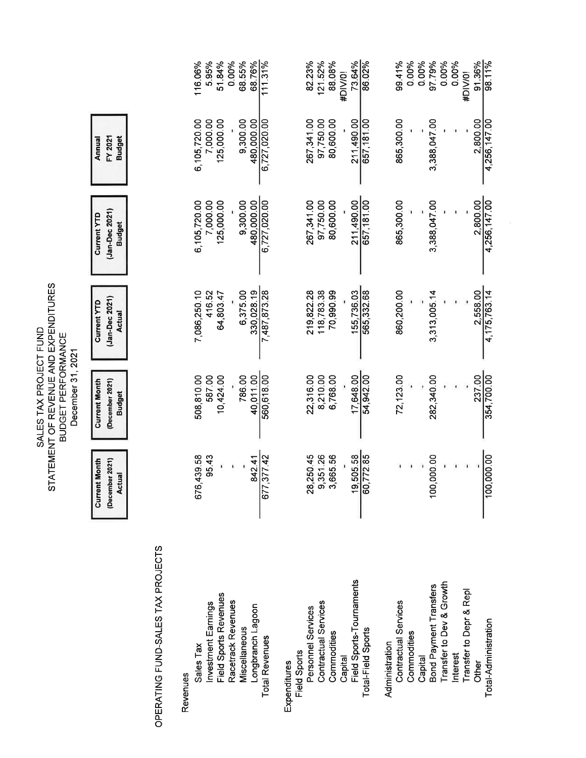|                                                |                                                          | December 31, 2021                                        |                                                       |                                                       |                                    |                   |
|------------------------------------------------|----------------------------------------------------------|----------------------------------------------------------|-------------------------------------------------------|-------------------------------------------------------|------------------------------------|-------------------|
|                                                | <b>Current Month</b><br>(December 2021)<br><b>Actual</b> | <b>Current Month</b><br>(December 2021)<br><b>Budget</b> | (Jan-Dec 2021)<br><b>Current YTD</b><br><b>Actual</b> | (Jan-Dec 2021)<br><b>Current YTD</b><br><b>Budget</b> | FY 2021<br><b>Budget</b><br>Annual |                   |
| OPERATING FUND-SALES TAX PROJECTS              |                                                          |                                                          |                                                       |                                                       |                                    |                   |
| Revenues                                       |                                                          |                                                          |                                                       |                                                       |                                    |                   |
| Sales Tax                                      | 676,439.58                                               | 508,810.00                                               | 7,086,250.10                                          | 6,105,720.00                                          | 6,105,720.00                       | 116.06%           |
| <b>Investment Earnings</b>                     | 95.43                                                    | 587.00                                                   | 416.52                                                | 7,000.00                                              | 7,000.00                           | 5.95%             |
| Field Sports Revenues                          |                                                          | 10,424.00                                                | 64,803.47                                             | 125,000.00                                            | 125,000.00                         | 51.84%            |
| Racetrack Revenues                             |                                                          |                                                          |                                                       |                                                       |                                    | 0.00%             |
| Miscellaneous                                  |                                                          | 786.00                                                   | 6,375.00                                              | 9,300.00                                              | 9,300.00                           | 68.55%            |
| Longbranch Lagoon                              | 842.41                                                   | 40.011.00                                                | 330,028.19                                            | 480.000.00                                            | 480,000.00                         | 68.76%            |
| <b>Total Revenues</b>                          | 377.42<br>677.                                           | 560,618.00                                               | 7,487,873.28                                          | 6,727,020.00                                          | 6,727,020.00                       | 111.31%           |
| <b>Field Sports</b><br>Expenditures            |                                                          |                                                          |                                                       |                                                       |                                    |                   |
| Personnel Services                             | 28,25045                                                 | 22,316.00                                                | 219,822.28                                            | 267,341.00                                            | 267,341.00                         | 82.23%            |
| Contractual Services                           | ,351.26<br>တ် က                                          | 8,210.00                                                 | 118,783.38                                            | 97,750.00                                             | 97,750.00                          | 121.52%           |
| Commodities                                    | 665.56                                                   | 6,768.00                                                 | 70,990.99                                             | 80,600.00                                             | 80,600.00                          | 88.08%<br>#DIV/0! |
| Capital                                        | 505.58<br>$\frac{1}{6}$                                  | 17,648.00                                                |                                                       | 211,490.00                                            | 211,490.00                         | 73.64%            |
| Field Sports-Tournaments<br>Total-Field Sports | 772.85<br>60                                             | 54,942.00                                                | 565,332.68<br>155,736.03                              | 657,181.00                                            | 657,181.00                         | 8602%             |
| Administration                                 |                                                          |                                                          |                                                       |                                                       |                                    |                   |
| <b>Contractual Services</b>                    |                                                          | 72,123.00                                                | 860,200.00                                            | 865,300.00                                            | 865,300.00                         | 99.41%            |
| Commodities                                    |                                                          |                                                          |                                                       |                                                       |                                    | 0.00%             |
| Capital                                        |                                                          |                                                          |                                                       |                                                       |                                    | 0.00%             |
| Bond Payment Transfers                         | 00.00<br>100                                             | 282,340.00                                               | 3,313,005.14                                          | 3,388,047.00                                          | 3,388,047.00                       | 97.79%            |
| Transfer to Dev & Growth                       |                                                          |                                                          |                                                       |                                                       |                                    | 0.00%             |
| Interest                                       |                                                          |                                                          |                                                       |                                                       |                                    | 0.00%             |
| Transfer to Depr & Repl                        |                                                          |                                                          |                                                       |                                                       |                                    | #DIV/0!           |
| Other                                          |                                                          | 237.00                                                   | 2,558.00                                              | 2,800.00                                              | 2,800.00                           | 91.36%            |
| Total-Administration                           | 100,000.00                                               | 354,700.00                                               | 4, 175, 763 14                                        | 4,256,147.00                                          | 4,256,147.00                       | 98.11%            |

SALES TAX PROJECT FUND<br>STATEMENT OF REVENUE AND EXPENDITURES<br>BUDGET PERFORMANCE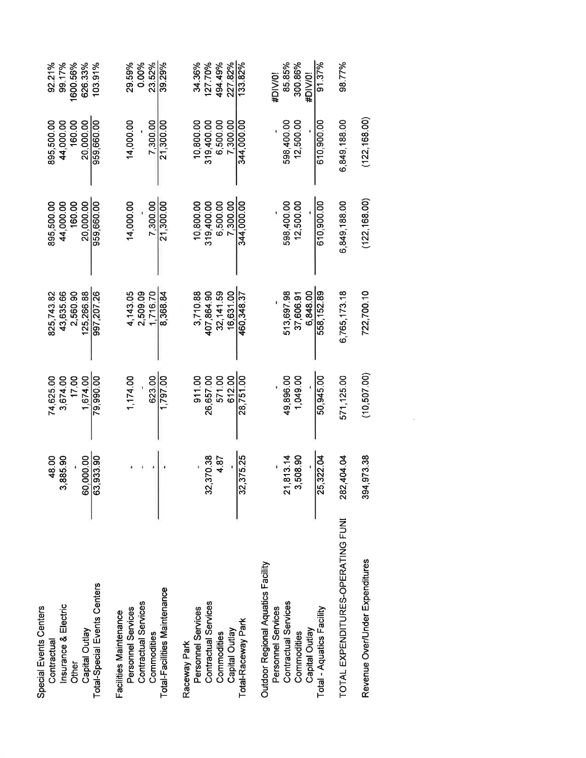| Special Events Centers<br>Contractual | 48.00      | 74,625.00    | 825,743.82   | 895,500.00    | 895,500.00    | 92.21%   |
|---------------------------------------|------------|--------------|--------------|---------------|---------------|----------|
| Insurance & Electric                  | 3,885.90   | 3,674.00     | 43.635.66    | 44,000.00     | 44,000.00     | 99.17%   |
| Other                                 |            | 17.00        | 2,560.90     | 160.00        | 160.00        | 1600.56% |
| Capital Outlay                        | 60,000.00  | 1.674.00     | 25.266.88    | 20,000.00     | 20.000.00     | 626.33%  |
| Total-Special Events Centers          | 63,933.90  | 79,990.00    | 997,207.26   | 959,660.00    | 959,660.00    | 103.91%  |
| Facilities Maintenance                |            |              |              |               |               |          |
| Personnel Services                    |            | 1,174.00     | 4,143.05     | 14,000.00     | 14,000.00     | 29.59%   |
| Contractual Services                  |            |              | 2,509.09     |               |               | 0.00%    |
| Commodities                           |            | 623.00       | 1.716.70     | 7,300.00      | 7,300.00      | 23.52%   |
| Total-Facilities Maintenance          |            | 1,797.00     | 8,368.84     | 21,300.00     | 21,300.00     | 39.29%   |
| Raceway Park                          |            |              |              |               |               |          |
| Personnel Services                    |            | 911.00       | 3,710.88     | 10.800.00     | 10,800.00     | 34.36%   |
| Contractual Services                  | 32,370.38  | 26,657.00    | 407,864.90   | 319,400.00    | 319,400.00    | 127.70%  |
| Commodities                           | 4.87       | 571.00       | 32,141.59    | 6.500.00      | 6.500.00      | 494.49%  |
| Capital Outlay                        |            | 612.00       | 16,631.00    | 7,300.00      | 7,300.00      | 227.82%  |
| Total-Raceway Park                    | 32, 375.25 | 28,751.00    | 460,348.37   | 344,000.00    | 344,000.00    | 133.82%  |
| Outdoor Regional Aquatics Facility    |            |              |              |               |               |          |
| Personnel Services                    |            |              |              |               |               | #DIV/0!  |
| Contractual Services                  | 21,813.14  | 49,896.00    | 513,697.98   | 598,400.00    | 598,400.00    | 85.85%   |
| Commodities                           | 3,508.90   | 1,049.00     | 37.606.91    | 12,500.00     | 12,500.00     | 300.86%  |
| Capital Outlay                        |            |              | 6,848.00     |               |               | #DIV/0!  |
| Total - Aquatics Facility             | 25,322.04  | 50,945.00    | 558, 152.89  | 610,900.00    | 610,900.00    | 91.37%   |
| TOTAL EXPENDITURES-OPERATING FUNI     | 282,404.04 | 571, 125.00  | 6,765,173.18 | 6,849,188.00  | 6,849,188.00  | 98.77%   |
| Revenue Over/Under Expenditures       | 394,973.38 | (10, 507.00) | 722,700.10   | (122, 168.00) | (122, 168.00) |          |

 $\overline{\mathcal{L}}$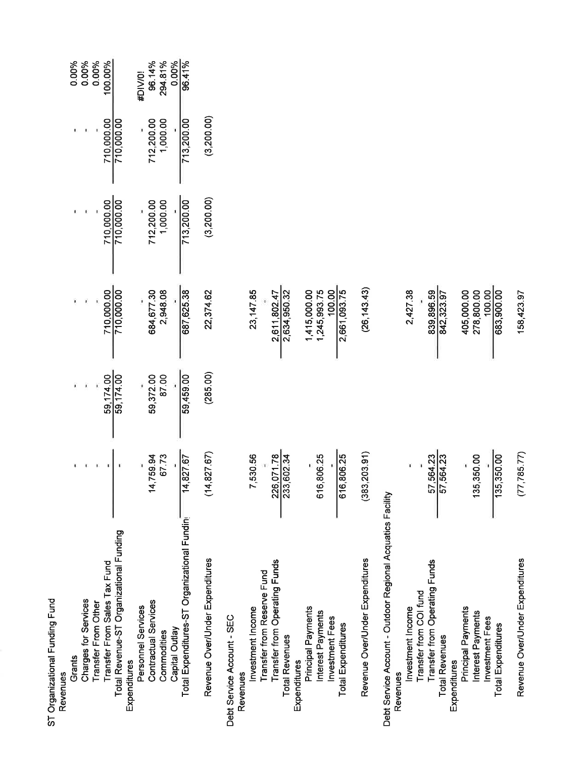| ST Organizational Funding Fund                             |                     |                            |                                                                                                                         |                          |                        |                          |
|------------------------------------------------------------|---------------------|----------------------------|-------------------------------------------------------------------------------------------------------------------------|--------------------------|------------------------|--------------------------|
| Revenues                                                   |                     |                            |                                                                                                                         |                          |                        |                          |
| Grants                                                     |                     |                            |                                                                                                                         |                          |                        | 0.00%                    |
| <b>Charges for Services</b>                                |                     | $59,174.00$<br>$59,174.00$ |                                                                                                                         |                          |                        | 0.00%                    |
| Transfer From Other                                        |                     |                            |                                                                                                                         |                          |                        | 0.00%                    |
| Transfer From Sales Tax Fund                               |                     |                            |                                                                                                                         |                          |                        | 100.00%                  |
| Total Revenue-ST Organizational Funding<br>Expenditures    |                     |                            | $\begin{array}{r} \hline \ 710,000.00 \\ \hline \hline \phantom{0000.00} \phantom{0000.00} \phantom{00000} \end{array}$ | 710,000.00<br>710,000.00 | 710,000.00             |                          |
| Personnel Services                                         |                     |                            |                                                                                                                         |                          |                        | #DIV/0!                  |
| Contractual Services                                       |                     | 59,372.00<br>87.00         |                                                                                                                         |                          |                        | 96.14%                   |
| Commodities                                                | 14,759.94<br>67.73  |                            | 684,677.30<br>2,948.08                                                                                                  | 712,200.00<br>1,000.00   | 712,200.00<br>1,000.00 | 294.81%                  |
| Capital Outlay                                             |                     |                            |                                                                                                                         |                          |                        | $\frac{0.00\%}{96.41\%}$ |
| Total Expenditures-ST Organizational Fundini               | $\frac{14,827.67}{$ | 59,459.00                  | 687,625.38                                                                                                              | 713,200.00               | 713,200.00             |                          |
| Revenue Over/Under Expenditures                            | (14, 827.67)        | (285.00)                   | 22,374.62                                                                                                               | (3, 200.00)              | (3,200.00)             |                          |
| Debt Service Account - SEC                                 |                     |                            |                                                                                                                         |                          |                        |                          |
| Revenues                                                   |                     |                            |                                                                                                                         |                          |                        |                          |
| Investment Income                                          | 7,530.56            |                            | 23, 147.85                                                                                                              |                          |                        |                          |
| Transfer from Reserve Fund                                 |                     |                            |                                                                                                                         |                          |                        |                          |
| Transfer from Operating Funds<br><b>Total Revenues</b>     | 226,071.78          |                            | 2,611,802.47<br>2,634,950.32                                                                                            |                          |                        |                          |
| Expenditures                                               |                     |                            |                                                                                                                         |                          |                        |                          |
| Principal Payments                                         |                     |                            |                                                                                                                         |                          |                        |                          |
| Interest Payments                                          | 616,806.25          |                            |                                                                                                                         |                          |                        |                          |
| Investment Fees                                            |                     |                            | $\begin{array}{r} 1,415,000.00 \\ 1,245,993.75 \\ \underline{-100.00} \\ 2,661,093.75 \end{array}$                      |                          |                        |                          |
| <b>Total Expenditures</b>                                  | 616,806.25          |                            |                                                                                                                         |                          |                        |                          |
| Revenue Over/Under Expenditures                            | (383, 203.91)       |                            | (26, 143, 43)                                                                                                           |                          |                        |                          |
| Debt Service Account - Outdoor Regional Acquatics Facility |                     |                            |                                                                                                                         |                          |                        |                          |
| Revenues                                                   |                     |                            |                                                                                                                         |                          |                        |                          |
| Transfer from COI fund<br>Investment Income                |                     |                            | 2,427.38                                                                                                                |                          |                        |                          |
| Transfer from Operating Funds                              |                     |                            |                                                                                                                         |                          |                        |                          |
| <b>Total Revenues</b>                                      | 57,564.23           |                            | 839,896.59<br>842,323.97                                                                                                |                          |                        |                          |
| Expenditures                                               |                     |                            |                                                                                                                         |                          |                        |                          |
| Principal Payments                                         |                     |                            | 405,000.00                                                                                                              |                          |                        |                          |
| Interest Payments<br>Investment Fees                       | 135,350.00          |                            | 278,800.00                                                                                                              |                          |                        |                          |
| Total Expenditures                                         | 135,350.00          |                            | 683,900.00                                                                                                              |                          |                        |                          |
| Revenue Over/Under Expenditures                            | (77, 785.77)        |                            | 158,423.97                                                                                                              |                          |                        |                          |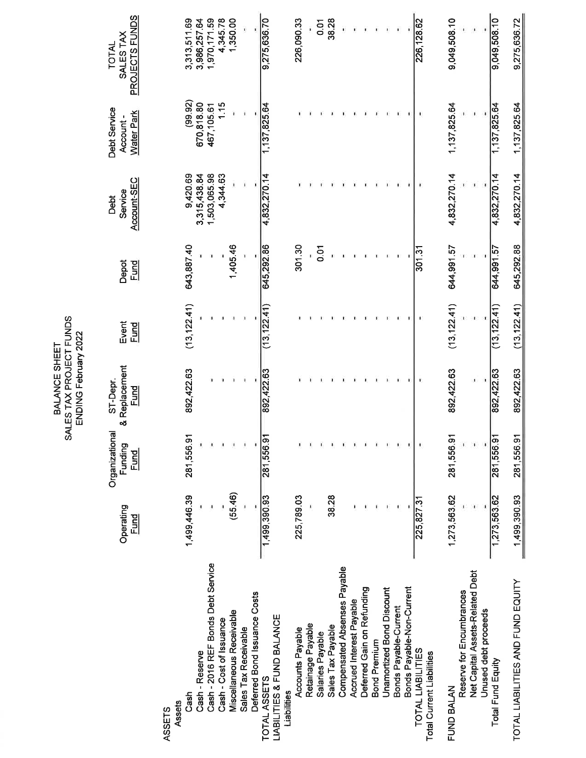| SALES TAX PROJECT FUNDS<br>ENDING February 2022<br>BALANCE SHEET | ST-Depr. |
|------------------------------------------------------------------|----------|
|                                                                  | pal      |

|                                                       |                          |                                          | <b>SALES TAX FYST SUNDS</b><br>ENDING February 2022 |                      |                      |                                |                                               |                                      |
|-------------------------------------------------------|--------------------------|------------------------------------------|-----------------------------------------------------|----------------------|----------------------|--------------------------------|-----------------------------------------------|--------------------------------------|
|                                                       | Operating<br><b>Fund</b> | Organizational<br>Funding<br><u>Fund</u> | & Replacement<br>ST-Depr.<br><b>Fund</b>            | Event<br><u>Fund</u> | Depot<br><b>Fund</b> | Account-SEC<br>Service<br>Debt | Debt Service<br><b>Water Park</b><br>Account- | PROJECTS FUNDS<br>SALES TAX<br>TOTAL |
| Cash<br>Assets<br>ASSETS                              | 1,499,446.39             | 281,556.91                               | 892,422.63                                          | (13, 122.41)         | 643,887.40           | 9,420.69                       | (99.92)                                       | 3,313,511.69                         |
| Cash - Reserve                                        |                          |                                          |                                                     |                      |                      | 3,315,438.84                   | 670,818.80                                    | 3,986,257.64                         |
| Cash - 2016 REF Bonds Debt Service                    |                          |                                          |                                                     |                      |                      | 1,503,065.98<br>4,344.63       | 1.15<br>467, 105.61                           | 1,970,171.59                         |
| Miscellaneous Receivable<br>Cash - Cost of Issuance   | (55.46)                  | ×<br>$\blacksquare$                      |                                                     |                      | 1,405.46             |                                |                                               | 1,350.00<br>4,345.78                 |
| Deferred Bond Issuance Costs<br>Sales Tax Receivable  | ï                        | ï<br>ï                                   | J.                                                  |                      | ŧ                    | ï<br>ı                         |                                               | î,                                   |
| LIABILITIES & FUND BALANCE<br>TOTAL ASSETS            | 1,499,390.93             | 281,55691                                | 892,422.63                                          | (13, 122.41)         | 645,292.86           | 4,832,270.14                   | 1,137,825.64                                  | 9,275,636.70                         |
| Accounts Payable<br>Liabilities                       | 225,789.03               |                                          |                                                     |                      | 301.30               |                                |                                               | 226,090.33                           |
| Retainage Payable                                     |                          | $\pmb{\cdot}$                            |                                                     |                      |                      |                                |                                               |                                      |
| Salaries Payable                                      |                          |                                          |                                                     |                      | 0.01                 |                                |                                               | 0.01                                 |
| Sales Tax Payable                                     | 38.28                    | $\ddot{\phantom{a}}$                     |                                                     |                      |                      |                                |                                               | 38.28                                |
| Compensated Absenses Payable                          |                          | $\blacksquare$                           |                                                     |                      |                      |                                |                                               |                                      |
| Accrued Interest Payable                              |                          | $\blacksquare$                           |                                                     |                      |                      |                                |                                               |                                      |
| Deferred Gain on Refunding                            |                          | $\pmb{\ast}$                             |                                                     |                      |                      |                                |                                               |                                      |
| <b>Bond Premium</b>                                   |                          | $\pmb{\ast}$                             |                                                     |                      |                      |                                |                                               |                                      |
| <b>Unamortized Bond Discount</b>                      |                          | ٠                                        |                                                     |                      |                      |                                |                                               |                                      |
| Bonds Payable-Non-Current<br>Bonds Payable-Current    |                          | Ÿ,<br>¥,                                 |                                                     |                      |                      |                                |                                               |                                      |
| TOTAL LIABILITIES<br><b>Total Current Liabilities</b> | 225,827.31               | ř,                                       | F,                                                  |                      | 301.31               |                                |                                               | 226, 128.62                          |
| Reserve for Encumbrances<br>FUND BALAN                | 1,273,563.62             | 281,556.91                               | 892,422.63                                          | (13, 122.41)         | 644,991.57           | 4,832,270.14                   | 1,137,825.64                                  | 9,049,508.10                         |
| Net Capital Assets-Related Debt                       |                          | $\pmb{\cdot}$                            | J)                                                  |                      |                      |                                |                                               |                                      |
| Unused debt proceeds                                  |                          |                                          |                                                     |                      |                      |                                |                                               |                                      |
| Total Fund Equity                                     | 1,273,563.62             | 281,556.91                               | 892,422.63                                          | (13, 122.41)         | 644,991.57           | 4,832,270.14                   | 1,137,825.64                                  | 9,049,508.10                         |
| TOTAL LIABILITIES AND FUND EQUITY                     | 1,499,390.93             | 281,556.91                               | 892,422.63                                          | (13, 122.41)         | 645,292.88           | 4,832,270.14                   | 1,137,825.64                                  | 9,275,636.72                         |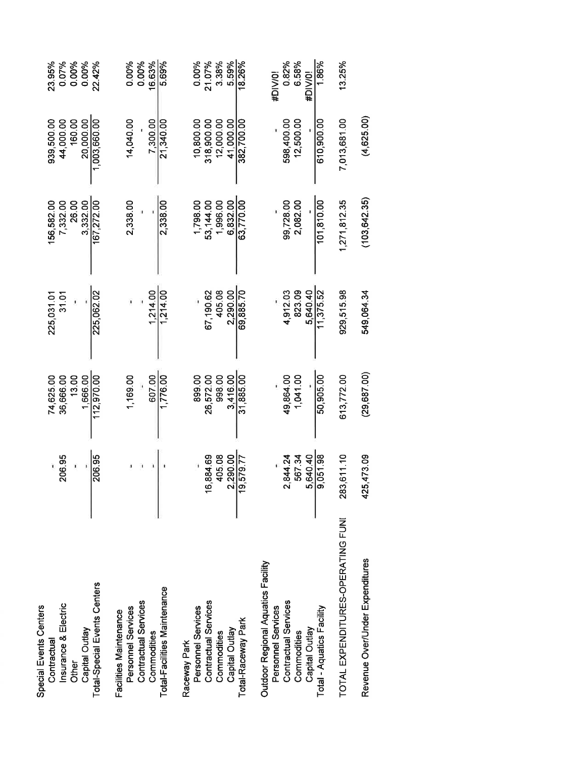|            | 74,625.00 | 225,031.01                                            | 156,582.00    | 939,500.00   | 23.95%  |
|------------|-----------|-------------------------------------------------------|---------------|--------------|---------|
| 206.95     | 36,666.00 | 31.01                                                 | 7,332.00      | 44,000.00    | 0.07%   |
|            | 13.00     |                                                       | 26.00         | 160.00       | 0.00%   |
|            | 1.666.00  |                                                       | 3332.00       | 20.000.00    | 0.00%   |
| 206.95     |           | 225,062.02                                            | 167,272.00    | 1,003,660.00 | 22.42%  |
|            |           |                                                       |               |              |         |
|            | 1,169.00  |                                                       | 2,338.00      | 14,040.00    | 0.00%   |
|            |           |                                                       |               |              | 0.00%   |
|            | 607.00    | 1,214.00                                              |               | 7,300.00     | 16.63%  |
|            | 1,776.00  | 1,214.00                                              | 2,338.00      | 21,340.00    | 5.69%   |
|            |           |                                                       |               |              |         |
|            | 899.00    |                                                       | 1,798.00      | 10,800.00    | 0.00%   |
| 6,884.69   | 26,572.00 | 67,190.62                                             | 53,144.00     | 318,900.00   | 21.07%  |
| 405.08     | 998.00    | 405.08                                                | 1,996.00      | 12,000.00    | 3.38%   |
| 2,290.00   | 3,416.00  | 2.290.00                                              | 6.832.00      | 41.000.00    | 5.59%   |
| 19,579.77  | 31,885.00 | 69,885.70                                             | 63,770.00     | 382,700.00   | 18.26%  |
|            |           |                                                       |               |              |         |
|            |           |                                                       |               |              | #DIV/0! |
| 2,844.24   | 49,864.00 | 4,912.03                                              | 99,728.00     | 598,400.00   | 0.82%   |
| 567.34     |           | 823.09                                                | 2,082.00      | 12,500.00    | 6.58%   |
| 5,640.40   |           | 5.640.40                                              |               |              | #DIV/0! |
| 9,051.98   | 50,905.00 | 11,375.52                                             | 101,810.00    | 610,900.00   | 1.86%   |
| 283,611.10 |           | 929,515.98                                            | 1,271,812.35  | 7,013,681.00 | 13.25%  |
| 425,473.09 |           | 549,064.34                                            | (103, 642.35) | (4,625.00)   |         |
|            |           | (29, 687, 00)<br>1,041.00<br>613,772.00<br>112,970.00 |               |              |         |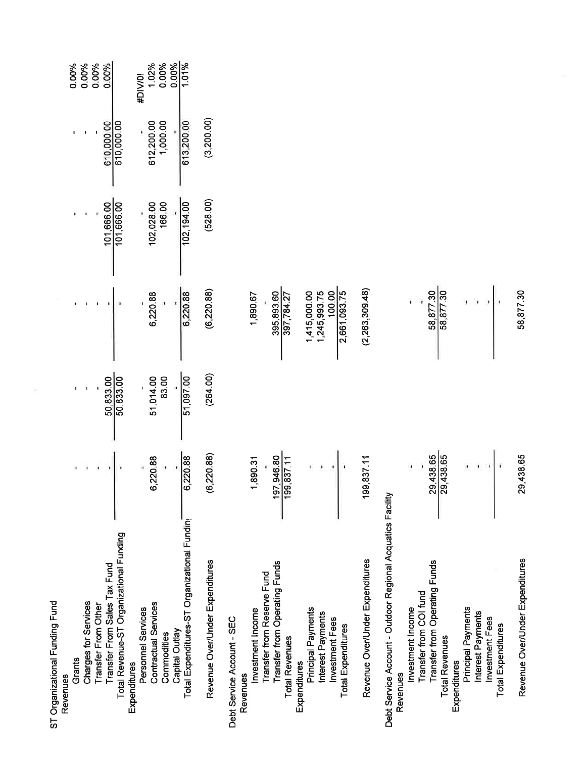| ST Organizational Funding Fund                             |                          |                               |                              |                      |                        |                         |
|------------------------------------------------------------|--------------------------|-------------------------------|------------------------------|----------------------|------------------------|-------------------------|
| Revenues                                                   |                          |                               |                              |                      |                        |                         |
| Grants                                                     |                          |                               |                              |                      |                        | 0.00%                   |
| Charges for Services                                       |                          |                               |                              |                      |                        | 0.00%                   |
| Transfer From Other                                        |                          |                               |                              |                      |                        | 0.00%                   |
| Transfer From Sales Tax Fund                               |                          | $\frac{50,833.00}{50,833.00}$ |                              | 101,666.00           | 610,000.00             | 0.00%                   |
| Total Revenue-ST Organizational Funding                    |                          |                               |                              |                      |                        |                         |
| Expenditures                                               |                          |                               |                              |                      |                        | #DIV/0!                 |
| Personnel Services                                         | 6,220.88                 |                               | 6,220.88                     |                      |                        | 1.02%                   |
| <b>Contractual Services</b><br>Commodities                 |                          | 51,014.00<br>83.00            |                              | 102,028.00<br>166.00 | 612,200.00<br>1,000.00 | 0.00%                   |
| Capital Outlay                                             |                          |                               |                              |                      |                        | $\frac{0.00\%}{1.01\%}$ |
| Total Expenditures-ST Organizational Fundin                | 6,220.88                 | 51,097.00                     | 6,220.88                     | 102, 194.00          | 613,200.00             |                         |
| Revenue Over/Under Expenditures                            | 6,220.88)                | (264.00)                      | (6, 220.88)                  | (528.00)             | (3, 200, 00)           |                         |
| Debt Service Account - SEC                                 |                          |                               |                              |                      |                        |                         |
| Revenues                                                   |                          |                               |                              |                      |                        |                         |
| Investment Income                                          | 1,890.31                 |                               | 1,890.67                     |                      |                        |                         |
| Transfer from Reserve Fund                                 |                          |                               |                              |                      |                        |                         |
| Transfer from Operating Funds<br><b>Total Revenues</b>     | 197,946.80<br>199,837.11 |                               | 395,893.60<br>397,784.27     |                      |                        |                         |
| Expenditures                                               |                          |                               |                              |                      |                        |                         |
| Principal Payments<br>Interest Payments                    |                          |                               | 1,245,993.75<br>1,415,000.00 |                      |                        |                         |
| Investment Fees                                            |                          |                               | 100.00                       |                      |                        |                         |
| <b>Total Expenditures</b>                                  |                          |                               |                              |                      |                        |                         |
| Revenue Over/Under Expenditures                            | 199,837.11               |                               | (2,263,309.48)               |                      |                        |                         |
| Debt Service Account - Outdoor Regional Acquatics Facility |                          |                               |                              |                      |                        |                         |
| Revenues                                                   |                          |                               |                              |                      |                        |                         |
| Transfer from COI fund<br>Investment Income                |                          |                               |                              |                      |                        |                         |
| Transfer from Operating Funds                              |                          |                               |                              |                      |                        |                         |
| <b>Total Revenues</b>                                      | 29,438.65<br>29,438.65   |                               | 58,877.30<br>58,877.30       |                      |                        |                         |
| Expenditures                                               |                          |                               |                              |                      |                        |                         |
| Principal Payments                                         |                          |                               |                              |                      |                        |                         |
| Interest Payments                                          |                          |                               |                              |                      |                        |                         |
| Investment Fees                                            |                          |                               |                              |                      |                        |                         |
| Total Expenditures                                         |                          |                               |                              |                      |                        |                         |
| Revenue Over/Under Expenditures                            | 29,438.65                |                               | 58,877.30                    |                      |                        |                         |

8

 $\bar{\nu}$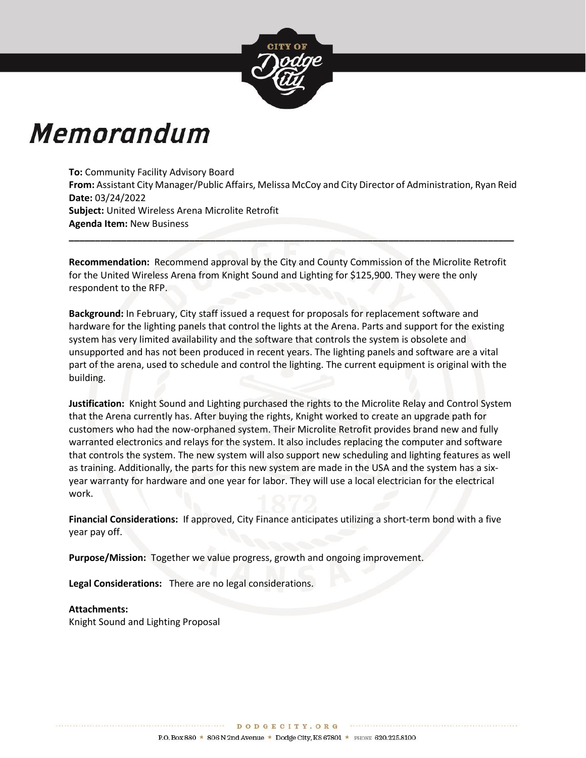

# Memorandum

**To:** Community Facility Advisory Board **From:** Assistant City Manager/Public Affairs, Melissa McCoy and City Director of Administration, Ryan Reid **Date:** 03/24/2022 **Subject:** United Wireless Arena Microlite Retrofit **Agenda Item:** New Business

**\_\_\_\_\_\_\_\_\_\_\_\_\_\_\_\_\_\_\_\_\_\_\_\_\_\_\_\_\_\_\_\_\_\_\_\_\_\_\_\_\_\_\_\_\_\_\_\_\_\_\_\_\_\_\_\_\_\_\_\_\_\_\_\_\_\_\_\_\_\_\_\_\_\_\_\_\_\_\_\_\_\_\_\_\_**

**Recommendation:** Recommend approval by the City and County Commission of the Microlite Retrofit for the United Wireless Arena from Knight Sound and Lighting for \$125,900. They were the only respondent to the RFP.

**Background:** In February, City staff issued a request for proposals for replacement software and hardware for the lighting panels that control the lights at the Arena. Parts and support for the existing system has very limited availability and the software that controls the system is obsolete and unsupported and has not been produced in recent years. The lighting panels and software are a vital part of the arena, used to schedule and control the lighting. The current equipment is original with the building.

**Justification:** Knight Sound and Lighting purchased the rights to the Microlite Relay and Control System that the Arena currently has. After buying the rights, Knight worked to create an upgrade path for customers who had the now-orphaned system. Their Microlite Retrofit provides brand new and fully warranted electronics and relays for the system. It also includes replacing the computer and software that controls the system. The new system will also support new scheduling and lighting features as well as training. Additionally, the parts for this new system are made in the USA and the system has a sixyear warranty for hardware and one year for labor. They will use a local electrician for the electrical work.

**Financial Considerations:** If approved, City Finance anticipates utilizing a short-term bond with a five year pay off.

**Purpose/Mission:** Together we value progress, growth and ongoing improvement.

**Legal Considerations:** There are no legal considerations.

#### **Attachments:**

Knight Sound and Lighting Proposal

DODGECITY. ORG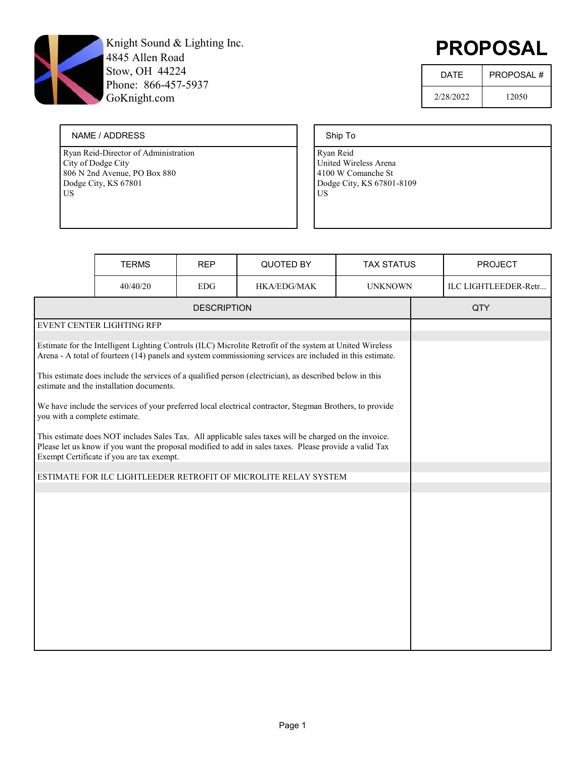

# PROPOSAL

| <b>DATF</b> | <b>PROPOSAL#</b> |
|-------------|------------------|
| 2/28/2022   | 12050            |

#### NAME / ADDRESS

Ryan Reid-Director of Administration City of Dodge City 806 N 2nd Avenue, PO Box 880 Dodge City, KS 67801 US

#### Ship To

|                                                                                                                                                                                                                                                              | <b>TERMS</b>                             | <b>REP</b>         | QUOTED BY                                                                                                                                                                                                            | <b>TAX STATUS</b> |  | <b>PROJECT</b>       |
|--------------------------------------------------------------------------------------------------------------------------------------------------------------------------------------------------------------------------------------------------------------|------------------------------------------|--------------------|----------------------------------------------------------------------------------------------------------------------------------------------------------------------------------------------------------------------|-------------------|--|----------------------|
|                                                                                                                                                                                                                                                              | 40/40/20                                 | <b>EDG</b>         | <b>HKA/EDG/MAK</b>                                                                                                                                                                                                   | <b>UNKNOWN</b>    |  | ILC LIGHTLEEDER-Retr |
|                                                                                                                                                                                                                                                              |                                          | <b>DESCRIPTION</b> |                                                                                                                                                                                                                      |                   |  | <b>QTY</b>           |
|                                                                                                                                                                                                                                                              | EVENT CENTER LIGHTING RFP                |                    |                                                                                                                                                                                                                      |                   |  |                      |
|                                                                                                                                                                                                                                                              |                                          |                    | Estimate for the Intelligent Lighting Controls (ILC) Microlite Retrofit of the system at United Wireless<br>Arena - A total of fourteen (14) panels and system commissioning services are included in this estimate. |                   |  |                      |
|                                                                                                                                                                                                                                                              | estimate and the installation documents. |                    | This estimate does include the services of a qualified person (electrician), as described below in this                                                                                                              |                   |  |                      |
| you with a complete estimate.                                                                                                                                                                                                                                |                                          |                    | We have include the services of your preferred local electrical contractor, Stegman Brothers, to provide                                                                                                             |                   |  |                      |
| This estimate does NOT includes Sales Tax. All applicable sales taxes will be charged on the invoice.<br>Please let us know if you want the proposal modified to add in sales taxes. Please provide a valid Tax<br>Exempt Certificate if you are tax exempt. |                                          |                    |                                                                                                                                                                                                                      |                   |  |                      |
| ESTIMATE FOR ILC LIGHTLEEDER RETROFIT OF MICROLITE RELAY SYSTEM                                                                                                                                                                                              |                                          |                    |                                                                                                                                                                                                                      |                   |  |                      |
|                                                                                                                                                                                                                                                              |                                          |                    |                                                                                                                                                                                                                      |                   |  |                      |
|                                                                                                                                                                                                                                                              |                                          |                    |                                                                                                                                                                                                                      |                   |  |                      |
|                                                                                                                                                                                                                                                              |                                          |                    |                                                                                                                                                                                                                      |                   |  |                      |
|                                                                                                                                                                                                                                                              |                                          |                    |                                                                                                                                                                                                                      |                   |  |                      |
|                                                                                                                                                                                                                                                              |                                          |                    |                                                                                                                                                                                                                      |                   |  |                      |
|                                                                                                                                                                                                                                                              |                                          |                    |                                                                                                                                                                                                                      |                   |  |                      |
|                                                                                                                                                                                                                                                              |                                          |                    |                                                                                                                                                                                                                      |                   |  |                      |
|                                                                                                                                                                                                                                                              |                                          |                    |                                                                                                                                                                                                                      |                   |  |                      |
|                                                                                                                                                                                                                                                              |                                          |                    |                                                                                                                                                                                                                      |                   |  |                      |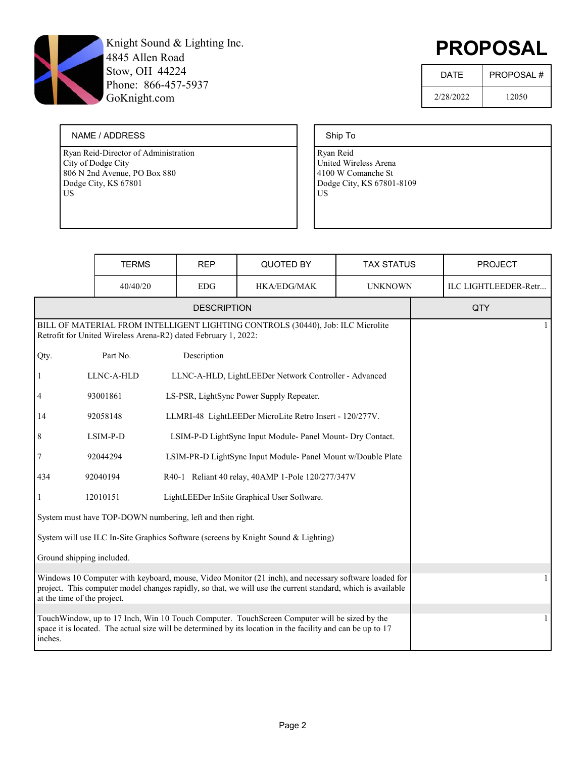

# PROPOSAL

| <b>DATF</b> | <b>PROPOSAL#</b> |
|-------------|------------------|
| 2/28/2022   | 12050            |

#### NAME / ADDRESS

Ryan Reid-Director of Administration City of Dodge City 806 N 2nd Avenue, PO Box 880 Dodge City, KS 67801 US

#### Ship To

|                                                                                                                                                                                                                                                    | <b>TERMS</b>                                                   | <b>REP</b>                                  | QUOTED BY                                                                                                                                                                                                   | <b>TAX STATUS</b> |  | <b>PROJECT</b>       |
|----------------------------------------------------------------------------------------------------------------------------------------------------------------------------------------------------------------------------------------------------|----------------------------------------------------------------|---------------------------------------------|-------------------------------------------------------------------------------------------------------------------------------------------------------------------------------------------------------------|-------------------|--|----------------------|
|                                                                                                                                                                                                                                                    | 40/40/20                                                       | <b>EDG</b>                                  | <b>HKA/EDG/MAK</b>                                                                                                                                                                                          | <b>UNKNOWN</b>    |  | ILC LIGHTLEEDER-Retr |
|                                                                                                                                                                                                                                                    |                                                                | <b>DESCRIPTION</b>                          |                                                                                                                                                                                                             |                   |  | QTY                  |
|                                                                                                                                                                                                                                                    | Retrofit for United Wireless Arena-R2) dated February 1, 2022: |                                             | BILL OF MATERIAL FROM INTELLIGENT LIGHTING CONTROLS (30440), Job: ILC Microlite                                                                                                                             |                   |  | $\mathbf{1}$         |
| Qty.                                                                                                                                                                                                                                               | Part No.                                                       | Description                                 |                                                                                                                                                                                                             |                   |  |                      |
| 1                                                                                                                                                                                                                                                  | LLNC-A-HLD                                                     |                                             | LLNC-A-HLD, LightLEEDer Network Controller - Advanced                                                                                                                                                       |                   |  |                      |
| 4                                                                                                                                                                                                                                                  | 93001861                                                       |                                             | LS-PSR, LightSync Power Supply Repeater.                                                                                                                                                                    |                   |  |                      |
| 14                                                                                                                                                                                                                                                 | 92058148                                                       |                                             | LLMRI-48 LightLEEDer MicroLite Retro Insert - 120/277V.                                                                                                                                                     |                   |  |                      |
| 8                                                                                                                                                                                                                                                  | LSIM-P-D                                                       |                                             | LSIM-P-D LightSync Input Module- Panel Mount- Dry Contact.                                                                                                                                                  |                   |  |                      |
| $\sqrt{ }$                                                                                                                                                                                                                                         | 92044294                                                       |                                             | LSIM-PR-D LightSync Input Module- Panel Mount w/Double Plate                                                                                                                                                |                   |  |                      |
| 434                                                                                                                                                                                                                                                | 92040194<br>R40-1 Reliant 40 relay, 40AMP 1-Pole 120/277/347V  |                                             |                                                                                                                                                                                                             |                   |  |                      |
| 1                                                                                                                                                                                                                                                  | 12010151                                                       | LightLEEDer InSite Graphical User Software. |                                                                                                                                                                                                             |                   |  |                      |
|                                                                                                                                                                                                                                                    | System must have TOP-DOWN numbering, left and then right.      |                                             |                                                                                                                                                                                                             |                   |  |                      |
|                                                                                                                                                                                                                                                    |                                                                |                                             | System will use ILC In-Site Graphics Software (screens by Knight Sound & Lighting)                                                                                                                          |                   |  |                      |
| Ground shipping included.                                                                                                                                                                                                                          |                                                                |                                             |                                                                                                                                                                                                             |                   |  |                      |
| Windows 10 Computer with keyboard, mouse, Video Monitor (21 inch), and necessary software loaded for<br>project. This computer model changes rapidly, so that, we will use the current standard, which is available<br>at the time of the project. |                                                                |                                             |                                                                                                                                                                                                             |                   |  | 1                    |
| inches.                                                                                                                                                                                                                                            |                                                                |                                             | TouchWindow, up to 17 Inch, Win 10 Touch Computer. TouchScreen Computer will be sized by the<br>space it is located. The actual size will be determined by its location in the facility and can be up to 17 |                   |  |                      |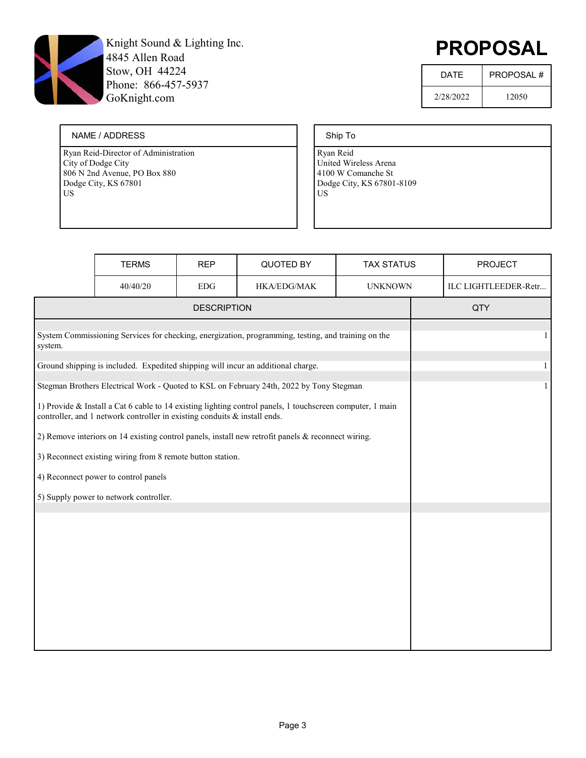

# PROPOSAL

| <b>DATF</b> | <b>PROPOSAL#</b> |
|-------------|------------------|
| 2/28/2022   | 12050            |

#### NAME / ADDRESS

Ryan Reid-Director of Administration City of Dodge City 806 N 2nd Avenue, PO Box 880 Dodge City, KS 67801 US

#### Ship To

|         | <b>TERMS</b>                                                                                        | <b>REP</b>         | QUOTED BY                                                                                                 | <b>TAX STATUS</b> | <b>PROJECT</b>       |
|---------|-----------------------------------------------------------------------------------------------------|--------------------|-----------------------------------------------------------------------------------------------------------|-------------------|----------------------|
|         | 40/40/20                                                                                            | <b>EDG</b>         | HKA/EDG/MAK                                                                                               | <b>UNKNOWN</b>    | ILC LIGHTLEEDER-Retr |
|         |                                                                                                     | <b>DESCRIPTION</b> |                                                                                                           |                   | QTY                  |
| system. | System Commissioning Services for checking, energization, programming, testing, and training on the | 1                  |                                                                                                           |                   |                      |
|         |                                                                                                     |                    | Ground shipping is included. Expedited shipping will incur an additional charge.                          |                   | $\mathbf{1}$         |
|         |                                                                                                     |                    | Stegman Brothers Electrical Work - Quoted to KSL on February 24th, 2022 by Tony Stegman                   |                   | $\mathbf{1}$         |
|         | controller, and 1 network controller in existing conduits $\&$ install ends.                        |                    | 1) Provide & Install a Cat 6 cable to 14 existing lighting control panels, 1 touchscreen computer, 1 main |                   |                      |
|         |                                                                                                     |                    | 2) Remove interiors on 14 existing control panels, install new retrofit panels $\&$ reconnect wiring.     |                   |                      |
|         | 3) Reconnect existing wiring from 8 remote button station.                                          |                    |                                                                                                           |                   |                      |
|         | 4) Reconnect power to control panels                                                                |                    |                                                                                                           |                   |                      |
|         | 5) Supply power to network controller.                                                              |                    |                                                                                                           |                   |                      |
|         |                                                                                                     |                    |                                                                                                           |                   |                      |
|         |                                                                                                     |                    |                                                                                                           |                   |                      |
|         |                                                                                                     |                    |                                                                                                           |                   |                      |
|         |                                                                                                     |                    |                                                                                                           |                   |                      |
|         |                                                                                                     |                    |                                                                                                           |                   |                      |
|         |                                                                                                     |                    |                                                                                                           |                   |                      |
|         |                                                                                                     |                    |                                                                                                           |                   |                      |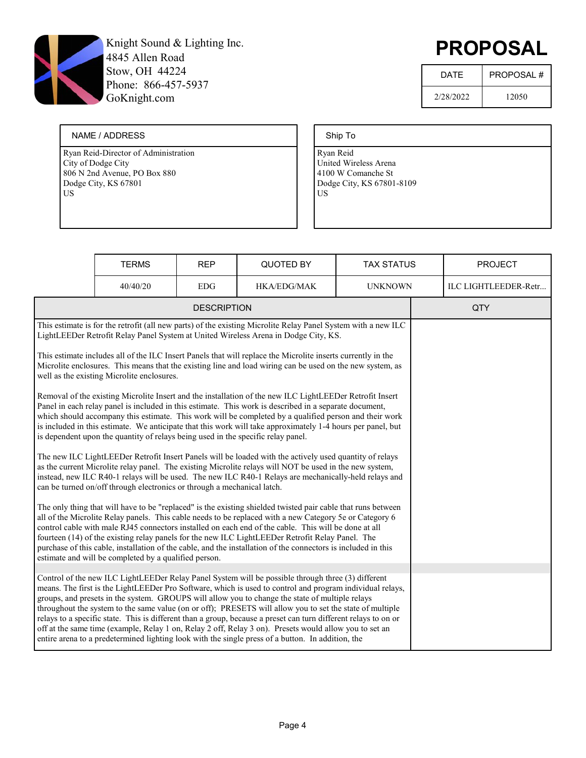

# PROPOSAL

| <b>DATF</b> | <b>PROPOSAL#</b> |
|-------------|------------------|
| 2/28/2022   | 12050            |

#### NAME / ADDRESS

Ryan Reid-Director of Administration City of Dodge City 806 N 2nd Avenue, PO Box 880 Dodge City, KS 67801 US

#### Ship To

|                                                                                                                                                                                                                                                                                                                                                                                                                                                                                                                                                                                                                                                                                                                                                                  | <b>TERMS</b>                               | <b>REP</b>         | QUOTED BY                                                                                                                                                                                                                 | <b>TAX STATUS</b> |  | <b>PROJECT</b>       |
|------------------------------------------------------------------------------------------------------------------------------------------------------------------------------------------------------------------------------------------------------------------------------------------------------------------------------------------------------------------------------------------------------------------------------------------------------------------------------------------------------------------------------------------------------------------------------------------------------------------------------------------------------------------------------------------------------------------------------------------------------------------|--------------------------------------------|--------------------|---------------------------------------------------------------------------------------------------------------------------------------------------------------------------------------------------------------------------|-------------------|--|----------------------|
|                                                                                                                                                                                                                                                                                                                                                                                                                                                                                                                                                                                                                                                                                                                                                                  | 40/40/20                                   | <b>EDG</b>         | HKA/EDG/MAK                                                                                                                                                                                                               | <b>UNKNOWN</b>    |  | ILC LIGHTLEEDER-Retr |
|                                                                                                                                                                                                                                                                                                                                                                                                                                                                                                                                                                                                                                                                                                                                                                  |                                            | <b>DESCRIPTION</b> |                                                                                                                                                                                                                           |                   |  | QTY                  |
|                                                                                                                                                                                                                                                                                                                                                                                                                                                                                                                                                                                                                                                                                                                                                                  |                                            |                    | This estimate is for the retrofit (all new parts) of the existing Microlite Relay Panel System with a new ILC<br>LightLEEDer Retrofit Relay Panel System at United Wireless Arena in Dodge City, KS.                      |                   |  |                      |
|                                                                                                                                                                                                                                                                                                                                                                                                                                                                                                                                                                                                                                                                                                                                                                  | well as the existing Microlite enclosures. |                    | This estimate includes all of the ILC Insert Panels that will replace the Microlite inserts currently in the<br>Microlite enclosures. This means that the existing line and load wiring can be used on the new system, as |                   |  |                      |
| Removal of the existing Microlite Insert and the installation of the new ILC LightLEEDer Retrofit Insert<br>Panel in each relay panel is included in this estimate. This work is described in a separate document,<br>which should accompany this estimate. This work will be completed by a qualified person and their work<br>is included in this estimate. We anticipate that this work will take approximately 1-4 hours per panel, but<br>is dependent upon the quantity of relays being used in the specific relay panel.                                                                                                                                                                                                                                  |                                            |                    |                                                                                                                                                                                                                           |                   |  |                      |
| The new ILC LightLEEDer Retrofit Insert Panels will be loaded with the actively used quantity of relays<br>as the current Microlite relay panel. The existing Microlite relays will NOT be used in the new system,<br>instead, new ILC R40-1 relays will be used. The new ILC R40-1 Relays are mechanically-held relays and<br>can be turned on/off through electronics or through a mechanical latch.                                                                                                                                                                                                                                                                                                                                                           |                                            |                    |                                                                                                                                                                                                                           |                   |  |                      |
| The only thing that will have to be "replaced" is the existing shielded twisted pair cable that runs between<br>all of the Microlite Relay panels. This cable needs to be replaced with a new Category 5e or Category 6<br>control cable with male RJ45 connectors installed on each end of the cable. This will be done at all<br>fourteen (14) of the existing relay panels for the new ILC LightLEEDer Retrofit Relay Panel. The<br>purchase of this cable, installation of the cable, and the installation of the connectors is included in this<br>estimate and will be completed by a qualified person.                                                                                                                                                    |                                            |                    |                                                                                                                                                                                                                           |                   |  |                      |
|                                                                                                                                                                                                                                                                                                                                                                                                                                                                                                                                                                                                                                                                                                                                                                  |                                            |                    |                                                                                                                                                                                                                           |                   |  |                      |
| Control of the new ILC LightLEEDer Relay Panel System will be possible through three (3) different<br>means. The first is the LightLEEDer Pro Software, which is used to control and program individual relays,<br>groups, and presets in the system. GROUPS will allow you to change the state of multiple relays<br>throughout the system to the same value (on or off); PRESETS will allow you to set the state of multiple<br>relays to a specific state. This is different than a group, because a preset can turn different relays to on or<br>off at the same time (example, Relay 1 on, Relay 2 off, Relay 3 on). Presets would allow you to set an<br>entire arena to a predetermined lighting look with the single press of a button. In addition, the |                                            |                    |                                                                                                                                                                                                                           |                   |  |                      |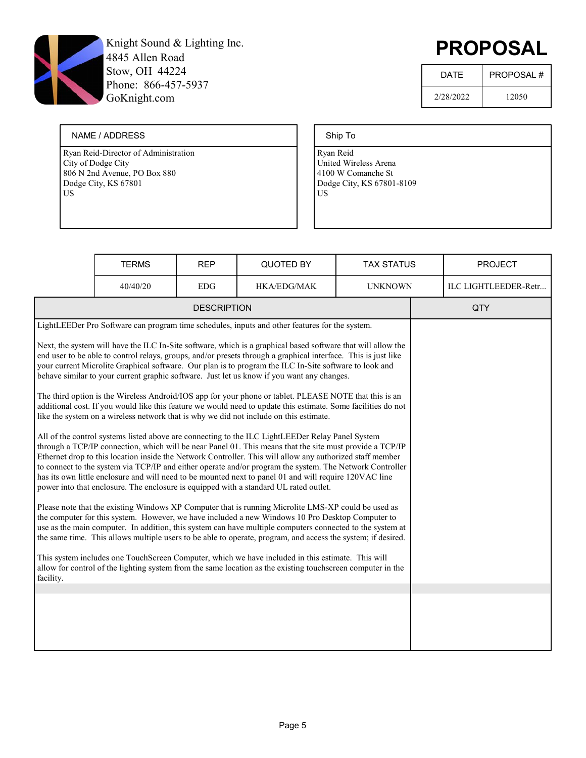

# PROPOSAL

| <b>DATF</b> | <b>PROPOSAL#</b> |
|-------------|------------------|
| 2/28/2022   | 12050            |

#### NAME / ADDRESS

Ryan Reid-Director of Administration City of Dodge City 806 N 2nd Avenue, PO Box 880 Dodge City, KS 67801 US

#### Ship To

|                                                                                                                                                                                                                                                                                                                                                                                                                                                                                                                                                                                                                                                                                                                                                                                                                                                                                                                                                                                                                                                                                          | <b>TERMS</b> | <b>REP</b>         | QUOTED BY                                                                                                                                                                                                                                                                                                   | <b>TAX STATUS</b> |  | <b>PROJECT</b>       |
|------------------------------------------------------------------------------------------------------------------------------------------------------------------------------------------------------------------------------------------------------------------------------------------------------------------------------------------------------------------------------------------------------------------------------------------------------------------------------------------------------------------------------------------------------------------------------------------------------------------------------------------------------------------------------------------------------------------------------------------------------------------------------------------------------------------------------------------------------------------------------------------------------------------------------------------------------------------------------------------------------------------------------------------------------------------------------------------|--------------|--------------------|-------------------------------------------------------------------------------------------------------------------------------------------------------------------------------------------------------------------------------------------------------------------------------------------------------------|-------------------|--|----------------------|
|                                                                                                                                                                                                                                                                                                                                                                                                                                                                                                                                                                                                                                                                                                                                                                                                                                                                                                                                                                                                                                                                                          | 40/40/20     | <b>EDG</b>         | HKA/EDG/MAK                                                                                                                                                                                                                                                                                                 | <b>UNKNOWN</b>    |  | ILC LIGHTLEEDER-Retr |
|                                                                                                                                                                                                                                                                                                                                                                                                                                                                                                                                                                                                                                                                                                                                                                                                                                                                                                                                                                                                                                                                                          |              | <b>DESCRIPTION</b> |                                                                                                                                                                                                                                                                                                             |                   |  | QTY                  |
|                                                                                                                                                                                                                                                                                                                                                                                                                                                                                                                                                                                                                                                                                                                                                                                                                                                                                                                                                                                                                                                                                          |              |                    | LightLEEDer Pro Software can program time schedules, inputs and other features for the system.                                                                                                                                                                                                              |                   |  |                      |
| Next, the system will have the ILC In-Site software, which is a graphical based software that will allow the<br>end user to be able to control relays, groups, and/or presets through a graphical interface. This is just like<br>your current Microlite Graphical software. Our plan is to program the ILC In-Site software to look and<br>behave similar to your current graphic software. Just let us know if you want any changes.<br>The third option is the Wireless Android/IOS app for your phone or tablet. PLEASE NOTE that this is an<br>additional cost. If you would like this feature we would need to update this estimate. Some facilities do not<br>like the system on a wireless network that is why we did not include on this estimate.<br>All of the control systems listed above are connecting to the ILC LightLEEDer Relay Panel System<br>through a TCP/IP connection, which will be near Panel 01. This means that the site must provide a TCP/IP<br>Ethernet drop to this location inside the Network Controller. This will allow any authorized staff member |              |                    |                                                                                                                                                                                                                                                                                                             |                   |  |                      |
|                                                                                                                                                                                                                                                                                                                                                                                                                                                                                                                                                                                                                                                                                                                                                                                                                                                                                                                                                                                                                                                                                          |              |                    | to connect to the system via TCP/IP and either operate and/or program the system. The Network Controller<br>has its own little enclosure and will need to be mounted next to panel 01 and will require 120VAC line<br>power into that enclosure. The enclosure is equipped with a standard UL rated outlet. |                   |  |                      |
| Please note that the existing Windows XP Computer that is running Microlite LMS-XP could be used as<br>the computer for this system. However, we have included a new Windows 10 Pro Desktop Computer to<br>use as the main computer. In addition, this system can have multiple computers connected to the system at<br>the same time. This allows multiple users to be able to operate, program, and access the system; if desired.                                                                                                                                                                                                                                                                                                                                                                                                                                                                                                                                                                                                                                                     |              |                    |                                                                                                                                                                                                                                                                                                             |                   |  |                      |
| This system includes one TouchScreen Computer, which we have included in this estimate. This will<br>allow for control of the lighting system from the same location as the existing touchscreen computer in the<br>facility.                                                                                                                                                                                                                                                                                                                                                                                                                                                                                                                                                                                                                                                                                                                                                                                                                                                            |              |                    |                                                                                                                                                                                                                                                                                                             |                   |  |                      |
|                                                                                                                                                                                                                                                                                                                                                                                                                                                                                                                                                                                                                                                                                                                                                                                                                                                                                                                                                                                                                                                                                          |              |                    |                                                                                                                                                                                                                                                                                                             |                   |  |                      |
|                                                                                                                                                                                                                                                                                                                                                                                                                                                                                                                                                                                                                                                                                                                                                                                                                                                                                                                                                                                                                                                                                          |              |                    |                                                                                                                                                                                                                                                                                                             |                   |  |                      |
|                                                                                                                                                                                                                                                                                                                                                                                                                                                                                                                                                                                                                                                                                                                                                                                                                                                                                                                                                                                                                                                                                          |              |                    |                                                                                                                                                                                                                                                                                                             |                   |  |                      |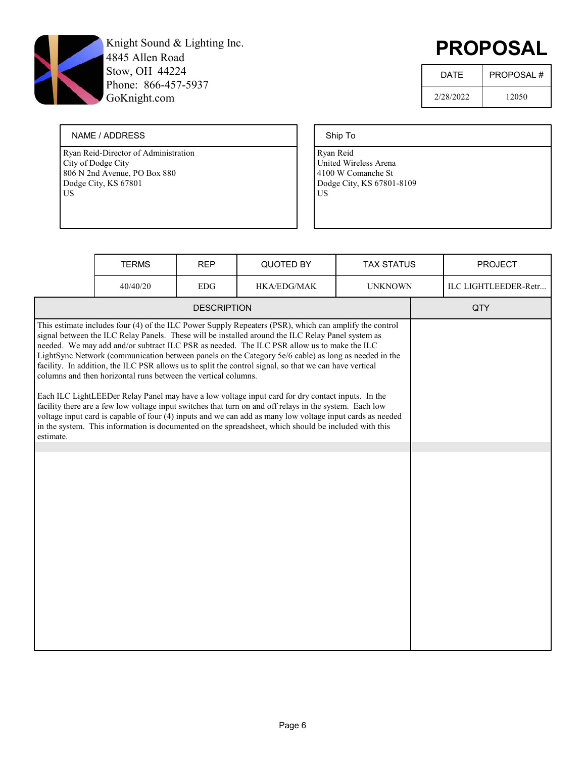

# PROPOSAL

| <b>DATF</b> | <b>PROPOSAL#</b> |
|-------------|------------------|
| 2/28/2022   | 12050            |

#### NAME / ADDRESS

Ryan Reid-Director of Administration City of Dodge City 806 N 2nd Avenue, PO Box 880 Dodge City, KS 67801 US

#### Ship To

|           | <b>TERMS</b>                                                   | <b>REP</b>         | <b>QUOTED BY</b>                                                                                                                                                                                                                                                                                                                                                                                                                                                                                                                                                                                                                                                                                                                                                                                                                                                                                                                                                 | <b>TAX STATUS</b> | <b>PROJECT</b>       |
|-----------|----------------------------------------------------------------|--------------------|------------------------------------------------------------------------------------------------------------------------------------------------------------------------------------------------------------------------------------------------------------------------------------------------------------------------------------------------------------------------------------------------------------------------------------------------------------------------------------------------------------------------------------------------------------------------------------------------------------------------------------------------------------------------------------------------------------------------------------------------------------------------------------------------------------------------------------------------------------------------------------------------------------------------------------------------------------------|-------------------|----------------------|
|           | 40/40/20                                                       | <b>EDG</b>         | HKA/EDG/MAK                                                                                                                                                                                                                                                                                                                                                                                                                                                                                                                                                                                                                                                                                                                                                                                                                                                                                                                                                      | <b>UNKNOWN</b>    | ILC LIGHTLEEDER-Retr |
|           |                                                                | <b>DESCRIPTION</b> |                                                                                                                                                                                                                                                                                                                                                                                                                                                                                                                                                                                                                                                                                                                                                                                                                                                                                                                                                                  |                   | QTY                  |
| estimate. | columns and then horizontal runs between the vertical columns. |                    | This estimate includes four (4) of the ILC Power Supply Repeaters (PSR), which can amplify the control<br>signal between the ILC Relay Panels. These will be installed around the ILC Relay Panel system as<br>needed. We may add and/or subtract ILC PSR as needed. The ILC PSR allow us to make the ILC<br>LightSync Network (communication between panels on the Category 5e/6 cable) as long as needed in the<br>facility. In addition, the ILC PSR allows us to split the control signal, so that we can have vertical<br>Each ILC LightLEEDer Relay Panel may have a low voltage input card for dry contact inputs. In the<br>facility there are a few low voltage input switches that turn on and off relays in the system. Each low<br>voltage input card is capable of four (4) inputs and we can add as many low voltage input cards as needed<br>in the system. This information is documented on the spreadsheet, which should be included with this |                   |                      |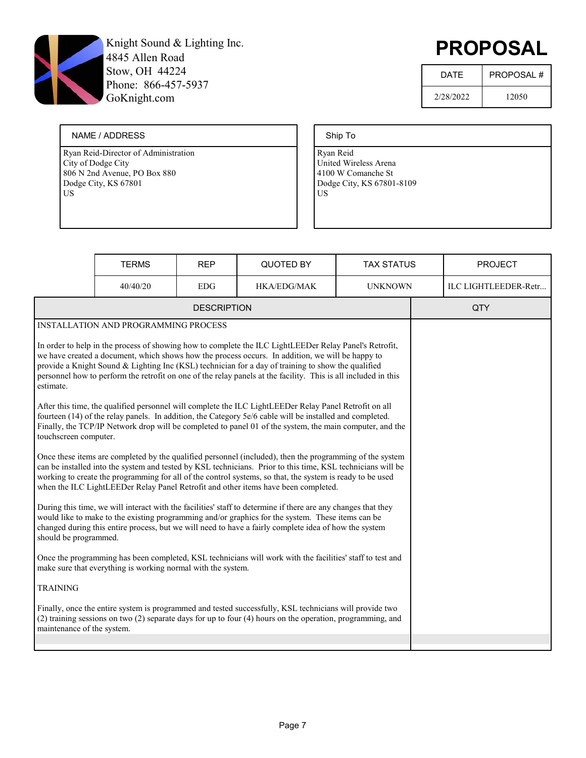

# PROPOSAL

| <b>DATF</b> | <b>PROPOSAL#</b> |
|-------------|------------------|
| 2/28/2022   | 12050            |

#### NAME / ADDRESS

Ryan Reid-Director of Administration City of Dodge City 806 N 2nd Avenue, PO Box 880 Dodge City, KS 67801 US

#### Ship To

|                                                                                                                                                                                                                                                                                                                                                                                                                            | <b>TERMS</b>                                                                                                                                                                                                                                                                                                                                                                                                                       | <b>REP</b>         | <b>QUOTED BY</b>                                                                                                                                                                                                                                                                                                               | <b>TAX STATUS</b> |  | <b>PROJECT</b>       |
|----------------------------------------------------------------------------------------------------------------------------------------------------------------------------------------------------------------------------------------------------------------------------------------------------------------------------------------------------------------------------------------------------------------------------|------------------------------------------------------------------------------------------------------------------------------------------------------------------------------------------------------------------------------------------------------------------------------------------------------------------------------------------------------------------------------------------------------------------------------------|--------------------|--------------------------------------------------------------------------------------------------------------------------------------------------------------------------------------------------------------------------------------------------------------------------------------------------------------------------------|-------------------|--|----------------------|
|                                                                                                                                                                                                                                                                                                                                                                                                                            | 40/40/20                                                                                                                                                                                                                                                                                                                                                                                                                           | <b>EDG</b>         | <b>HKA/EDG/MAK</b>                                                                                                                                                                                                                                                                                                             | <b>UNKNOWN</b>    |  | ILC LIGHTLEEDER-Retr |
|                                                                                                                                                                                                                                                                                                                                                                                                                            |                                                                                                                                                                                                                                                                                                                                                                                                                                    | <b>DESCRIPTION</b> |                                                                                                                                                                                                                                                                                                                                |                   |  | QTY                  |
|                                                                                                                                                                                                                                                                                                                                                                                                                            | <b>INSTALLATION AND PROGRAMMING PROCESS</b>                                                                                                                                                                                                                                                                                                                                                                                        |                    |                                                                                                                                                                                                                                                                                                                                |                   |  |                      |
| estimate.                                                                                                                                                                                                                                                                                                                                                                                                                  | In order to help in the process of showing how to complete the ILC LightLEEDer Relay Panel's Retrofit,<br>we have created a document, which shows how the process occurs. In addition, we will be happy to<br>provide a Knight Sound & Lighting Inc (KSL) technician for a day of training to show the qualified<br>personnel how to perform the retrofit on one of the relay panels at the facility. This is all included in this |                    |                                                                                                                                                                                                                                                                                                                                |                   |  |                      |
| touchscreen computer.                                                                                                                                                                                                                                                                                                                                                                                                      |                                                                                                                                                                                                                                                                                                                                                                                                                                    |                    | After this time, the qualified personnel will complete the ILC LightLEEDer Relay Panel Retrofit on all<br>fourteen (14) of the relay panels. In addition, the Category 5e/6 cable will be installed and completed.<br>Finally, the TCP/IP Network drop will be completed to panel 01 of the system, the main computer, and the |                   |  |                      |
| Once these items are completed by the qualified personnel (included), then the programming of the system<br>can be installed into the system and tested by KSL technicians. Prior to this time, KSL technicians will be<br>working to create the programming for all of the control systems, so that, the system is ready to be used<br>when the ILC LightLEEDer Relay Panel Retrofit and other items have been completed. |                                                                                                                                                                                                                                                                                                                                                                                                                                    |                    |                                                                                                                                                                                                                                                                                                                                |                   |  |                      |
| During this time, we will interact with the facilities' staff to determine if there are any changes that they<br>would like to make to the existing programming and/or graphics for the system. These items can be<br>changed during this entire process, but we will need to have a fairly complete idea of how the system<br>should be programmed.                                                                       |                                                                                                                                                                                                                                                                                                                                                                                                                                    |                    |                                                                                                                                                                                                                                                                                                                                |                   |  |                      |
| Once the programming has been completed, KSL technicians will work with the facilities' staff to test and<br>make sure that everything is working normal with the system.                                                                                                                                                                                                                                                  |                                                                                                                                                                                                                                                                                                                                                                                                                                    |                    |                                                                                                                                                                                                                                                                                                                                |                   |  |                      |
| <b>TRAINING</b>                                                                                                                                                                                                                                                                                                                                                                                                            |                                                                                                                                                                                                                                                                                                                                                                                                                                    |                    |                                                                                                                                                                                                                                                                                                                                |                   |  |                      |
| Finally, once the entire system is programmed and tested successfully, KSL technicians will provide two<br>(2) training sessions on two (2) separate days for up to four (4) hours on the operation, programming, and<br>maintenance of the system.                                                                                                                                                                        |                                                                                                                                                                                                                                                                                                                                                                                                                                    |                    |                                                                                                                                                                                                                                                                                                                                |                   |  |                      |
|                                                                                                                                                                                                                                                                                                                                                                                                                            |                                                                                                                                                                                                                                                                                                                                                                                                                                    |                    |                                                                                                                                                                                                                                                                                                                                |                   |  |                      |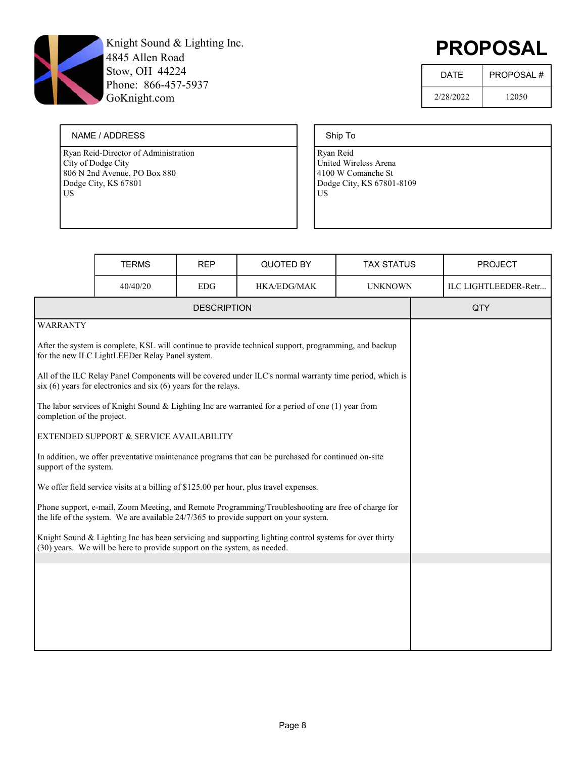

# PROPOSAL

| DATF      | <b>PROPOSAL#</b> |
|-----------|------------------|
| 2/28/2022 | 12050            |

#### NAME / ADDRESS

Ryan Reid-Director of Administration City of Dodge City 806 N 2nd Avenue, PO Box 880 Dodge City, KS 67801 US

#### Ship To

|                                                                                                                                                                                    | <b>TERMS</b>                                                                           | <b>REP</b>         | QUOTED BY                                                                                                                                                                                  | <b>TAX STATUS</b> | <b>PROJECT</b>       |
|------------------------------------------------------------------------------------------------------------------------------------------------------------------------------------|----------------------------------------------------------------------------------------|--------------------|--------------------------------------------------------------------------------------------------------------------------------------------------------------------------------------------|-------------------|----------------------|
|                                                                                                                                                                                    | 40/40/20                                                                               | <b>EDG</b>         | <b>HKA/EDG/MAK</b>                                                                                                                                                                         | <b>UNKNOWN</b>    | ILC LIGHTLEEDER-Retr |
|                                                                                                                                                                                    |                                                                                        | <b>DESCRIPTION</b> |                                                                                                                                                                                            |                   | QTY                  |
| <b>WARRANTY</b>                                                                                                                                                                    |                                                                                        |                    |                                                                                                                                                                                            |                   |                      |
|                                                                                                                                                                                    | for the new ILC LightLEEDer Relay Panel system.                                        |                    | After the system is complete, KSL will continue to provide technical support, programming, and backup                                                                                      |                   |                      |
|                                                                                                                                                                                    | $\sin(6)$ years for electronics and $\sin(6)$ years for the relays.                    |                    | All of the ILC Relay Panel Components will be covered under ILC's normal warranty time period, which is                                                                                    |                   |                      |
| completion of the project.                                                                                                                                                         |                                                                                        |                    | The labor services of Knight Sound & Lighting Inc are warranted for a period of one $(1)$ year from                                                                                        |                   |                      |
|                                                                                                                                                                                    | EXTENDED SUPPORT & SERVICE AVAILABILITY                                                |                    |                                                                                                                                                                                            |                   |                      |
| support of the system.                                                                                                                                                             |                                                                                        |                    | In addition, we offer preventative maintenance programs that can be purchased for continued on-site                                                                                        |                   |                      |
|                                                                                                                                                                                    | We offer field service visits at a billing of \$125.00 per hour, plus travel expenses. |                    |                                                                                                                                                                                            |                   |                      |
|                                                                                                                                                                                    |                                                                                        |                    | Phone support, e-mail, Zoom Meeting, and Remote Programming/Troubleshooting are free of charge for<br>the life of the system. We are available 24/7/365 to provide support on your system. |                   |                      |
| Knight Sound & Lighting Inc has been servicing and supporting lighting control systems for over thirty<br>(30) years. We will be here to provide support on the system, as needed. |                                                                                        |                    |                                                                                                                                                                                            |                   |                      |
|                                                                                                                                                                                    |                                                                                        |                    |                                                                                                                                                                                            |                   |                      |
|                                                                                                                                                                                    |                                                                                        |                    |                                                                                                                                                                                            |                   |                      |
|                                                                                                                                                                                    |                                                                                        |                    |                                                                                                                                                                                            |                   |                      |
|                                                                                                                                                                                    |                                                                                        |                    |                                                                                                                                                                                            |                   |                      |
|                                                                                                                                                                                    |                                                                                        |                    |                                                                                                                                                                                            |                   |                      |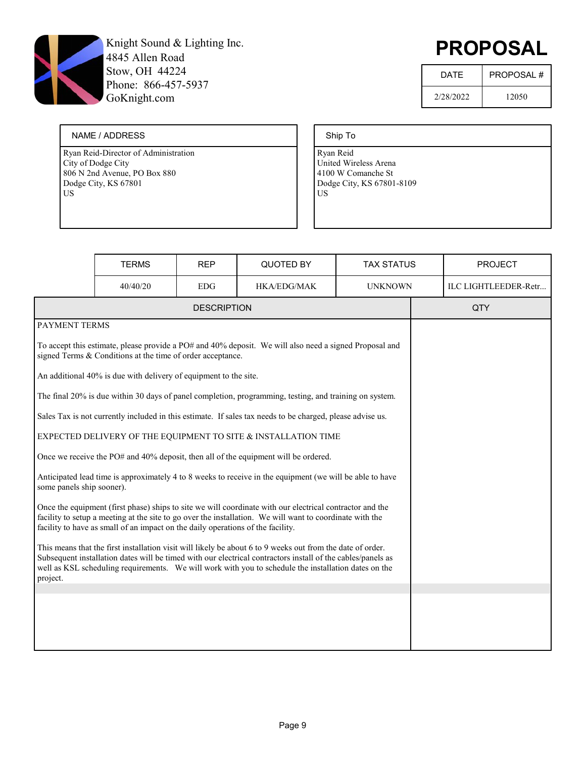

# PROPOSAL

| DATF      | PROPOSAL# |
|-----------|-----------|
| 2/28/2022 | 12050     |

#### NAME / ADDRESS

Ryan Reid-Director of Administration City of Dodge City 806 N 2nd Avenue, PO Box 880 Dodge City, KS 67801 US

#### Ship To

|                                                                                                                                                                                                                                                                                                                                               | <b>TERMS</b>                                                     | <b>REP</b>         | QUOTED BY                                                                                                 | <b>TAX STATUS</b> | <b>PROJECT</b>       |
|-----------------------------------------------------------------------------------------------------------------------------------------------------------------------------------------------------------------------------------------------------------------------------------------------------------------------------------------------|------------------------------------------------------------------|--------------------|-----------------------------------------------------------------------------------------------------------|-------------------|----------------------|
|                                                                                                                                                                                                                                                                                                                                               | 40/40/20                                                         | <b>EDG</b>         | <b>HKA/EDG/MAK</b>                                                                                        | <b>UNKNOWN</b>    | ILC LIGHTLEEDER-Retr |
|                                                                                                                                                                                                                                                                                                                                               |                                                                  | <b>DESCRIPTION</b> |                                                                                                           |                   | QTY                  |
| PAYMENT TERMS                                                                                                                                                                                                                                                                                                                                 |                                                                  |                    |                                                                                                           |                   |                      |
|                                                                                                                                                                                                                                                                                                                                               | signed Terms & Conditions at the time of order acceptance.       |                    | To accept this estimate, please provide a PO# and 40% deposit. We will also need a signed Proposal and    |                   |                      |
|                                                                                                                                                                                                                                                                                                                                               | An additional 40% is due with delivery of equipment to the site. |                    |                                                                                                           |                   |                      |
|                                                                                                                                                                                                                                                                                                                                               |                                                                  |                    | The final 20% is due within 30 days of panel completion, programming, testing, and training on system.    |                   |                      |
|                                                                                                                                                                                                                                                                                                                                               |                                                                  |                    | Sales Tax is not currently included in this estimate. If sales tax needs to be charged, please advise us. |                   |                      |
|                                                                                                                                                                                                                                                                                                                                               |                                                                  |                    | EXPECTED DELIVERY OF THE EQUIPMENT TO SITE & INSTALLATION TIME                                            |                   |                      |
|                                                                                                                                                                                                                                                                                                                                               |                                                                  |                    | Once we receive the PO# and 40% deposit, then all of the equipment will be ordered.                       |                   |                      |
| some panels ship sooner).                                                                                                                                                                                                                                                                                                                     |                                                                  |                    | Anticipated lead time is approximately 4 to 8 weeks to receive in the equipment (we will be able to have  |                   |                      |
| Once the equipment (first phase) ships to site we will coordinate with our electrical contractor and the<br>facility to setup a meeting at the site to go over the installation. We will want to coordinate with the<br>facility to have as small of an impact on the daily operations of the facility.                                       |                                                                  |                    |                                                                                                           |                   |                      |
| This means that the first installation visit will likely be about 6 to 9 weeks out from the date of order.<br>Subsequent installation dates will be timed with our electrical contractors install of the cables/panels as<br>well as KSL scheduling requirements. We will work with you to schedule the installation dates on the<br>project. |                                                                  |                    |                                                                                                           |                   |                      |
|                                                                                                                                                                                                                                                                                                                                               |                                                                  |                    |                                                                                                           |                   |                      |
|                                                                                                                                                                                                                                                                                                                                               |                                                                  |                    |                                                                                                           |                   |                      |
|                                                                                                                                                                                                                                                                                                                                               |                                                                  |                    |                                                                                                           |                   |                      |
|                                                                                                                                                                                                                                                                                                                                               |                                                                  |                    |                                                                                                           |                   |                      |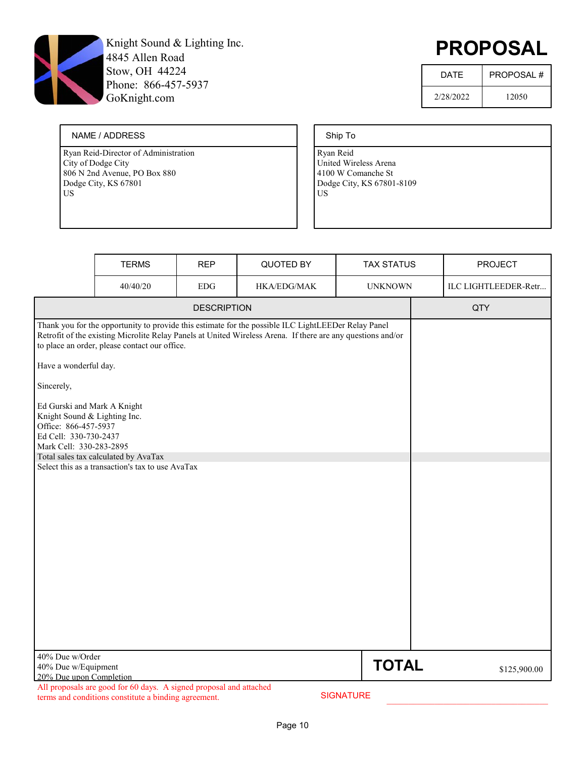

# PROPOSAL

| <b>DATF</b> | <b>PROPOSAL#</b> |
|-------------|------------------|
| 2/28/2022   | 12050            |

#### NAME / ADDRESS

Ryan Reid-Director of Administration City of Dodge City 806 N 2nd Avenue, PO Box 880 Dodge City, KS 67801 US

#### Ship To

|                                                                                                                                                                                | <b>TERMS</b>                                                                                                                              | <b>REP</b>         | QUOTED BY                                                                                                                                                                                                          | <b>TAX STATUS</b> | <b>PROJECT</b>       |
|--------------------------------------------------------------------------------------------------------------------------------------------------------------------------------|-------------------------------------------------------------------------------------------------------------------------------------------|--------------------|--------------------------------------------------------------------------------------------------------------------------------------------------------------------------------------------------------------------|-------------------|----------------------|
|                                                                                                                                                                                | 40/40/20                                                                                                                                  | ${\rm EDG}$        | HKA/EDG/MAK                                                                                                                                                                                                        | <b>UNKNOWN</b>    | ILC LIGHTLEEDER-Retr |
|                                                                                                                                                                                |                                                                                                                                           | <b>DESCRIPTION</b> |                                                                                                                                                                                                                    |                   | QTY                  |
| Have a wonderful day.<br>Sincerely,<br>Ed Gurski and Mark A Knight<br>Knight Sound & Lighting Inc.<br>Office: 866-457-5937<br>Ed Cell: 330-730-2437<br>Mark Cell: 330-283-2895 | to place an order, please contact our office.<br>Total sales tax calculated by AvaTax<br>Select this as a transaction's tax to use AvaTax |                    | Thank you for the opportunity to provide this estimate for the possible ILC LightLEEDer Relay Panel<br>Retrofit of the existing Microlite Relay Panels at United Wireless Arena. If there are any questions and/or |                   |                      |
| 40% Due w/Order<br>40% Due w/Equipment<br>20% Due upon Completion                                                                                                              |                                                                                                                                           |                    |                                                                                                                                                                                                                    | <b>TOTAL</b>      | \$125,900.00         |
|                                                                                                                                                                                | All proposals are good for 60 days. A signed proposal and attached<br>terms and conditions constitute a binding agreement.                |                    |                                                                                                                                                                                                                    | <b>SIGNATURE</b>  |                      |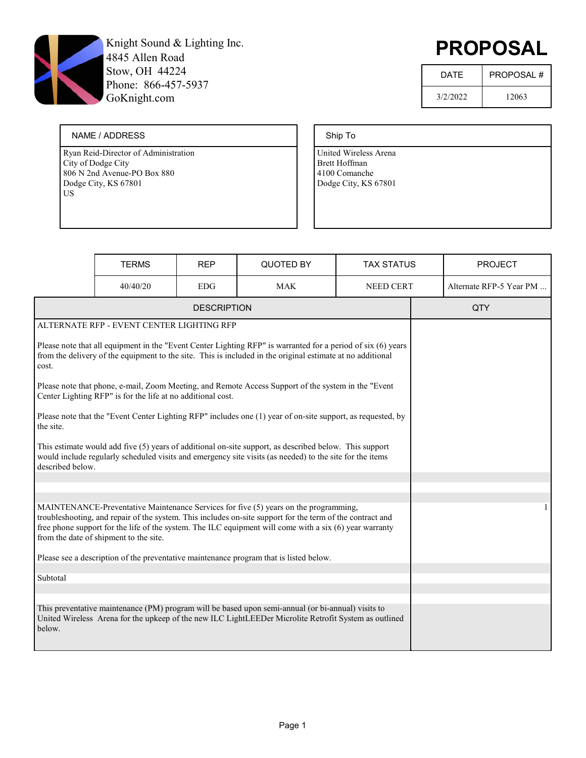

# PROPOSAL

| <b>DATF</b> | <b>PROPOSAL#</b> |
|-------------|------------------|
| 3/2/2022    | 12063            |

#### NAME / ADDRESS

Ryan Reid-Director of Administration City of Dodge City 806 N 2nd Avenue-PO Box 880 Dodge City, KS 67801 US

#### Ship To

|                                                                                                                                                                                                                                                                                                                                                        | <b>TERMS</b>                                                                                                                                                                                                               | <b>REP</b>         | QUOTED BY                                                                                                                                                                                                          | <b>TAX STATUS</b> |  | <b>PROJECT</b>          |  |
|--------------------------------------------------------------------------------------------------------------------------------------------------------------------------------------------------------------------------------------------------------------------------------------------------------------------------------------------------------|----------------------------------------------------------------------------------------------------------------------------------------------------------------------------------------------------------------------------|--------------------|--------------------------------------------------------------------------------------------------------------------------------------------------------------------------------------------------------------------|-------------------|--|-------------------------|--|
|                                                                                                                                                                                                                                                                                                                                                        | 40/40/20                                                                                                                                                                                                                   | <b>EDG</b>         | <b>MAK</b>                                                                                                                                                                                                         | <b>NEED CERT</b>  |  | Alternate RFP-5 Year PM |  |
|                                                                                                                                                                                                                                                                                                                                                        |                                                                                                                                                                                                                            | <b>DESCRIPTION</b> |                                                                                                                                                                                                                    |                   |  | QTY                     |  |
|                                                                                                                                                                                                                                                                                                                                                        | ALTERNATE RFP - EVENT CENTER LIGHTING RFP                                                                                                                                                                                  |                    |                                                                                                                                                                                                                    |                   |  |                         |  |
| cost.                                                                                                                                                                                                                                                                                                                                                  | Please note that all equipment in the "Event Center Lighting RFP" is warranted for a period of six (6) years<br>from the delivery of the equipment to the site. This is included in the original estimate at no additional |                    |                                                                                                                                                                                                                    |                   |  |                         |  |
|                                                                                                                                                                                                                                                                                                                                                        | Center Lighting RFP" is for the life at no additional cost.                                                                                                                                                                |                    | Please note that phone, e-mail, Zoom Meeting, and Remote Access Support of the system in the "Event                                                                                                                |                   |  |                         |  |
| the site.                                                                                                                                                                                                                                                                                                                                              |                                                                                                                                                                                                                            |                    | Please note that the "Event Center Lighting RFP" includes one (1) year of on-site support, as requested, by                                                                                                        |                   |  |                         |  |
| described below.                                                                                                                                                                                                                                                                                                                                       |                                                                                                                                                                                                                            |                    | This estimate would add five (5) years of additional on-site support, as described below. This support<br>would include regularly scheduled visits and emergency site visits (as needed) to the site for the items |                   |  |                         |  |
|                                                                                                                                                                                                                                                                                                                                                        |                                                                                                                                                                                                                            |                    |                                                                                                                                                                                                                    |                   |  |                         |  |
| MAINTENANCE-Preventative Maintenance Services for five (5) years on the programming,<br>troubleshooting, and repair of the system. This includes on-site support for the term of the contract and<br>free phone support for the life of the system. The ILC equipment will come with a six (6) year warranty<br>from the date of shipment to the site. |                                                                                                                                                                                                                            |                    |                                                                                                                                                                                                                    |                   |  | 1                       |  |
|                                                                                                                                                                                                                                                                                                                                                        | Please see a description of the preventative maintenance program that is listed below.                                                                                                                                     |                    |                                                                                                                                                                                                                    |                   |  |                         |  |
| Subtotal                                                                                                                                                                                                                                                                                                                                               |                                                                                                                                                                                                                            |                    |                                                                                                                                                                                                                    |                   |  |                         |  |
|                                                                                                                                                                                                                                                                                                                                                        |                                                                                                                                                                                                                            |                    |                                                                                                                                                                                                                    |                   |  |                         |  |
| below.                                                                                                                                                                                                                                                                                                                                                 |                                                                                                                                                                                                                            |                    | This preventative maintenance (PM) program will be based upon semi-annual (or bi-annual) visits to<br>United Wireless Arena for the upkeep of the new ILC LightLEEDer Microlite Retrofit System as outlined        |                   |  |                         |  |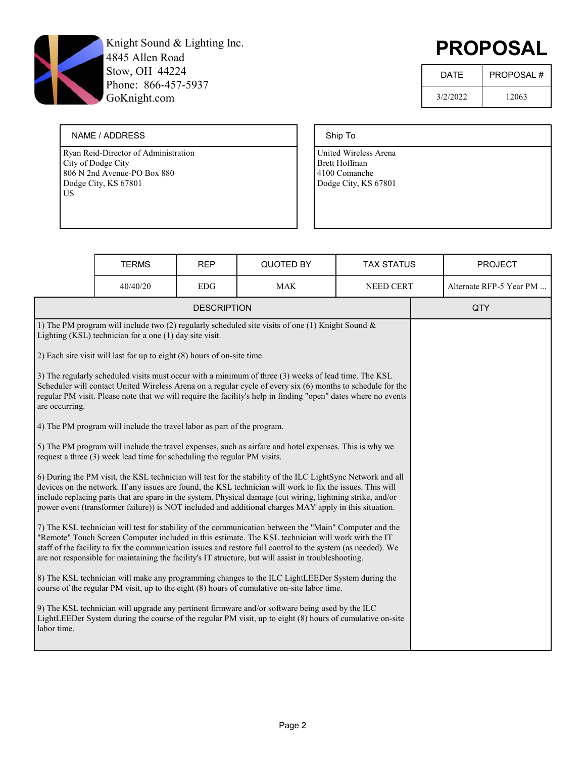

# PROPOSAL

| <b>DATF</b> | <b>PROPOSAL#</b> |
|-------------|------------------|
| 3/2/2022    | 12063            |

#### NAME / ADDRESS

Ryan Reid-Director of Administration City of Dodge City 806 N 2nd Avenue-PO Box 880 Dodge City, KS 67801 US

### Ship To

|                                                                                                                                                                                                                                                                                                                                                                                                                                                    | <b>TERMS</b>                                                             | <b>REP</b>         | <b>QUOTED BY</b>                                                                                                                                                                                             | <b>TAX STATUS</b> |  | <b>PROJECT</b>          |
|----------------------------------------------------------------------------------------------------------------------------------------------------------------------------------------------------------------------------------------------------------------------------------------------------------------------------------------------------------------------------------------------------------------------------------------------------|--------------------------------------------------------------------------|--------------------|--------------------------------------------------------------------------------------------------------------------------------------------------------------------------------------------------------------|-------------------|--|-------------------------|
|                                                                                                                                                                                                                                                                                                                                                                                                                                                    | 40/40/20                                                                 | <b>EDG</b>         | <b>MAK</b>                                                                                                                                                                                                   | <b>NEED CERT</b>  |  | Alternate RFP-5 Year PM |
|                                                                                                                                                                                                                                                                                                                                                                                                                                                    |                                                                          | <b>DESCRIPTION</b> |                                                                                                                                                                                                              |                   |  | QTY                     |
| 1) The PM program will include two (2) regularly scheduled site visits of one (1) Knight Sound &<br>Lighting (KSL) technician for a one (1) day site visit.                                                                                                                                                                                                                                                                                        |                                                                          |                    |                                                                                                                                                                                                              |                   |  |                         |
|                                                                                                                                                                                                                                                                                                                                                                                                                                                    | 2) Each site visit will last for up to eight (8) hours of on-site time.  |                    |                                                                                                                                                                                                              |                   |  |                         |
| 3) The regularly scheduled visits must occur with a minimum of three (3) weeks of lead time. The KSL<br>Scheduler will contact United Wireless Arena on a regular cycle of every six (6) months to schedule for the<br>regular PM visit. Please note that we will require the facility's help in finding "open" dates where no events<br>are occurring.                                                                                            |                                                                          |                    |                                                                                                                                                                                                              |                   |  |                         |
|                                                                                                                                                                                                                                                                                                                                                                                                                                                    | 4) The PM program will include the travel labor as part of the program.  |                    |                                                                                                                                                                                                              |                   |  |                         |
|                                                                                                                                                                                                                                                                                                                                                                                                                                                    | request a three (3) week lead time for scheduling the regular PM visits. |                    | 5) The PM program will include the travel expenses, such as airfare and hotel expenses. This is why we                                                                                                       |                   |  |                         |
| 6) During the PM visit, the KSL technician will test for the stability of the ILC LightSync Network and all<br>devices on the network. If any issues are found, the KSL technician will work to fix the issues. This will<br>include replacing parts that are spare in the system. Physical damage (cut wiring, lightning strike, and/or<br>power event (transformer failure)) is NOT included and additional charges MAY apply in this situation. |                                                                          |                    |                                                                                                                                                                                                              |                   |  |                         |
| 7) The KSL technician will test for stability of the communication between the "Main" Computer and the<br>"Remote" Touch Screen Computer included in this estimate. The KSL technician will work with the IT<br>staff of the facility to fix the communication issues and restore full control to the system (as needed). We<br>are not responsible for maintaining the facility's IT structure, but will assist in troubleshooting.               |                                                                          |                    |                                                                                                                                                                                                              |                   |  |                         |
| 8) The KSL technician will make any programming changes to the ILC LightLEEDer System during the<br>course of the regular PM visit, up to the eight (8) hours of cumulative on-site labor time.                                                                                                                                                                                                                                                    |                                                                          |                    |                                                                                                                                                                                                              |                   |  |                         |
| labor time.                                                                                                                                                                                                                                                                                                                                                                                                                                        |                                                                          |                    | 9) The KSL technician will upgrade any pertinent firmware and/or software being used by the ILC<br>LightLEEDer System during the course of the regular PM visit, up to eight (8) hours of cumulative on-site |                   |  |                         |
|                                                                                                                                                                                                                                                                                                                                                                                                                                                    |                                                                          |                    |                                                                                                                                                                                                              |                   |  |                         |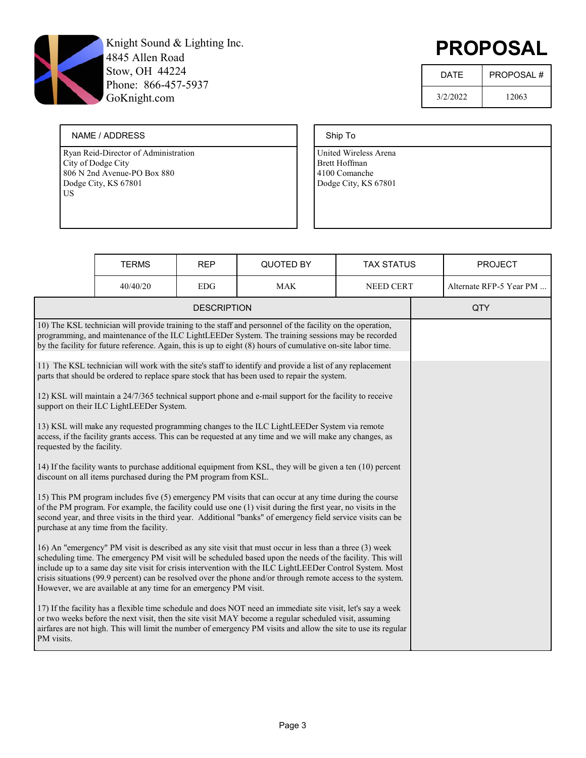

# PROPOSAL

| <b>DATF</b> | <b>PROPOSAL#</b> |
|-------------|------------------|
| 3/2/2022    | 12063            |

#### NAME / ADDRESS

Ryan Reid-Director of Administration City of Dodge City 806 N 2nd Avenue-PO Box 880 Dodge City, KS 67801 US

### Ship To

|                                                                                                                                                                                                                                                                                                                                                                                                                                                                                                                       | <b>TERMS</b>                                                                                                                                                                                                                                                                                                                   | <b>REP</b>         | QUOTED BY                                                                                                                                                                                                                                                                                                                                | <b>TAX STATUS</b> |  | <b>PROJECT</b>          |
|-----------------------------------------------------------------------------------------------------------------------------------------------------------------------------------------------------------------------------------------------------------------------------------------------------------------------------------------------------------------------------------------------------------------------------------------------------------------------------------------------------------------------|--------------------------------------------------------------------------------------------------------------------------------------------------------------------------------------------------------------------------------------------------------------------------------------------------------------------------------|--------------------|------------------------------------------------------------------------------------------------------------------------------------------------------------------------------------------------------------------------------------------------------------------------------------------------------------------------------------------|-------------------|--|-------------------------|
|                                                                                                                                                                                                                                                                                                                                                                                                                                                                                                                       | 40/40/20                                                                                                                                                                                                                                                                                                                       | <b>EDG</b>         | <b>MAK</b>                                                                                                                                                                                                                                                                                                                               | NEED CERT         |  | Alternate RFP-5 Year PM |
|                                                                                                                                                                                                                                                                                                                                                                                                                                                                                                                       |                                                                                                                                                                                                                                                                                                                                | <b>DESCRIPTION</b> |                                                                                                                                                                                                                                                                                                                                          |                   |  | QTY                     |
|                                                                                                                                                                                                                                                                                                                                                                                                                                                                                                                       | 10) The KSL technician will provide training to the staff and personnel of the facility on the operation,<br>programming, and maintenance of the ILC LightLEEDer System. The training sessions may be recorded<br>by the facility for future reference. Again, this is up to eight (8) hours of cumulative on-site labor time. |                    |                                                                                                                                                                                                                                                                                                                                          |                   |  |                         |
|                                                                                                                                                                                                                                                                                                                                                                                                                                                                                                                       |                                                                                                                                                                                                                                                                                                                                |                    | 11) The KSL technician will work with the site's staff to identify and provide a list of any replacement<br>parts that should be ordered to replace spare stock that has been used to repair the system.                                                                                                                                 |                   |  |                         |
|                                                                                                                                                                                                                                                                                                                                                                                                                                                                                                                       | support on their ILC LightLEEDer System.                                                                                                                                                                                                                                                                                       |                    | 12) KSL will maintain a 24/7/365 technical support phone and e-mail support for the facility to receive                                                                                                                                                                                                                                  |                   |  |                         |
| requested by the facility.                                                                                                                                                                                                                                                                                                                                                                                                                                                                                            |                                                                                                                                                                                                                                                                                                                                |                    | 13) KSL will make any requested programming changes to the ILC LightLEEDer System via remote<br>access, if the facility grants access. This can be requested at any time and we will make any changes, as                                                                                                                                |                   |  |                         |
|                                                                                                                                                                                                                                                                                                                                                                                                                                                                                                                       | discount on all items purchased during the PM program from KSL.                                                                                                                                                                                                                                                                |                    | 14) If the facility wants to purchase additional equipment from KSL, they will be given a ten (10) percent                                                                                                                                                                                                                               |                   |  |                         |
| 15) This PM program includes five (5) emergency PM visits that can occur at any time during the course<br>of the PM program. For example, the facility could use one (1) visit during the first year, no visits in the<br>second year, and three visits in the third year. Additional "banks" of emergency field service visits can be<br>purchase at any time from the facility.                                                                                                                                     |                                                                                                                                                                                                                                                                                                                                |                    |                                                                                                                                                                                                                                                                                                                                          |                   |  |                         |
| 16) An "emergency" PM visit is described as any site visit that must occur in less than a three (3) week<br>scheduling time. The emergency PM visit will be scheduled based upon the needs of the facility. This will<br>include up to a same day site visit for crisis intervention with the ILC LightLEEDer Control System. Most<br>crisis situations (99.9 percent) can be resolved over the phone and/or through remote access to the system.<br>However, we are available at any time for an emergency PM visit. |                                                                                                                                                                                                                                                                                                                                |                    |                                                                                                                                                                                                                                                                                                                                          |                   |  |                         |
| PM visits.                                                                                                                                                                                                                                                                                                                                                                                                                                                                                                            |                                                                                                                                                                                                                                                                                                                                |                    | 17) If the facility has a flexible time schedule and does NOT need an immediate site visit, let's say a week<br>or two weeks before the next visit, then the site visit MAY become a regular scheduled visit, assuming<br>airfares are not high. This will limit the number of emergency PM visits and allow the site to use its regular |                   |  |                         |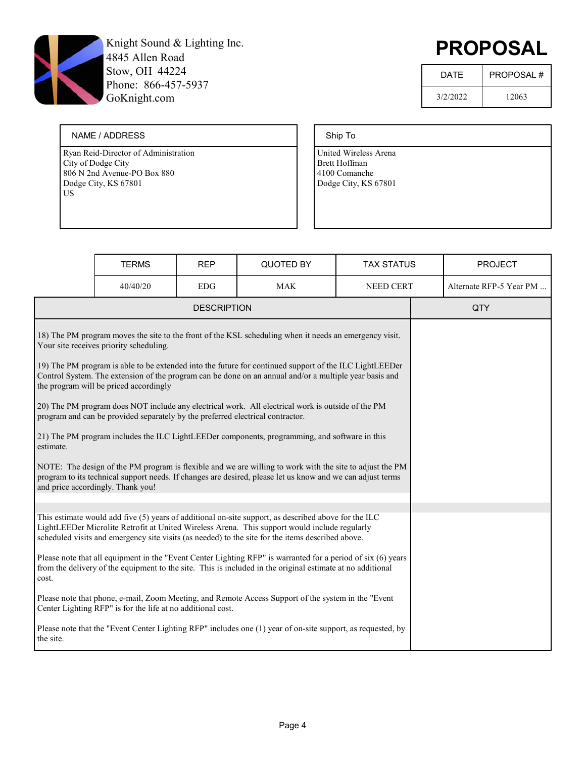

# PROPOSAL

| <b>DATF</b> | <b>PROPOSAL#</b> |
|-------------|------------------|
| 3/2/2022    | 12063            |

#### NAME / ADDRESS

Ryan Reid-Director of Administration City of Dodge City 806 N 2nd Avenue-PO Box 880 Dodge City, KS 67801 US

### Ship To

|                                                                                                                                                                                                                                                                                                            | <b>TERMS</b> | <b>REP</b> | QUOTED BY  | <b>TAX STATUS</b> |  | <b>PROJECT</b>          |
|------------------------------------------------------------------------------------------------------------------------------------------------------------------------------------------------------------------------------------------------------------------------------------------------------------|--------------|------------|------------|-------------------|--|-------------------------|
|                                                                                                                                                                                                                                                                                                            | 40/40/20     | <b>EDG</b> | <b>MAK</b> | <b>NEED CERT</b>  |  | Alternate RFP-5 Year PM |
| <b>DESCRIPTION</b>                                                                                                                                                                                                                                                                                         |              |            |            |                   |  | QTY                     |
| 18) The PM program moves the site to the front of the KSL scheduling when it needs an emergency visit.<br>Your site receives priority scheduling.                                                                                                                                                          |              |            |            |                   |  |                         |
| 19) The PM program is able to be extended into the future for continued support of the ILC LightLEEDer<br>Control System. The extension of the program can be done on an annual and/or a multiple year basis and<br>the program will be priced accordingly                                                 |              |            |            |                   |  |                         |
| [20] The PM program does NOT include any electrical work. All electrical work is outside of the PM<br>program and can be provided separately by the preferred electrical contractor.                                                                                                                       |              |            |            |                   |  |                         |
| [21] The PM program includes the ILC LightLEEDer components, programming, and software in this<br>estimate.                                                                                                                                                                                                |              |            |            |                   |  |                         |
| NOTE: The design of the PM program is flexible and we are willing to work with the site to adjust the PM<br>program to its technical support needs. If changes are desired, please let us know and we can adjust terms<br>and price accordingly. Thank you!                                                |              |            |            |                   |  |                         |
|                                                                                                                                                                                                                                                                                                            |              |            |            |                   |  |                         |
| This estimate would add five (5) years of additional on-site support, as described above for the ILC<br>LightLEEDer Microlite Retrofit at United Wireless Arena. This support would include regularly<br>scheduled visits and emergency site visits (as needed) to the site for the items described above. |              |            |            |                   |  |                         |
| Please note that all equipment in the "Event Center Lighting RFP" is warranted for a period of six (6) years<br>from the delivery of the equipment to the site. This is included in the original estimate at no additional<br>cost.                                                                        |              |            |            |                   |  |                         |
| Please note that phone, e-mail, Zoom Meeting, and Remote Access Support of the system in the "Event<br>Center Lighting RFP" is for the life at no additional cost.                                                                                                                                         |              |            |            |                   |  |                         |
| Please note that the "Event Center Lighting RFP" includes one (1) year of on-site support, as requested, by<br>the site.                                                                                                                                                                                   |              |            |            |                   |  |                         |